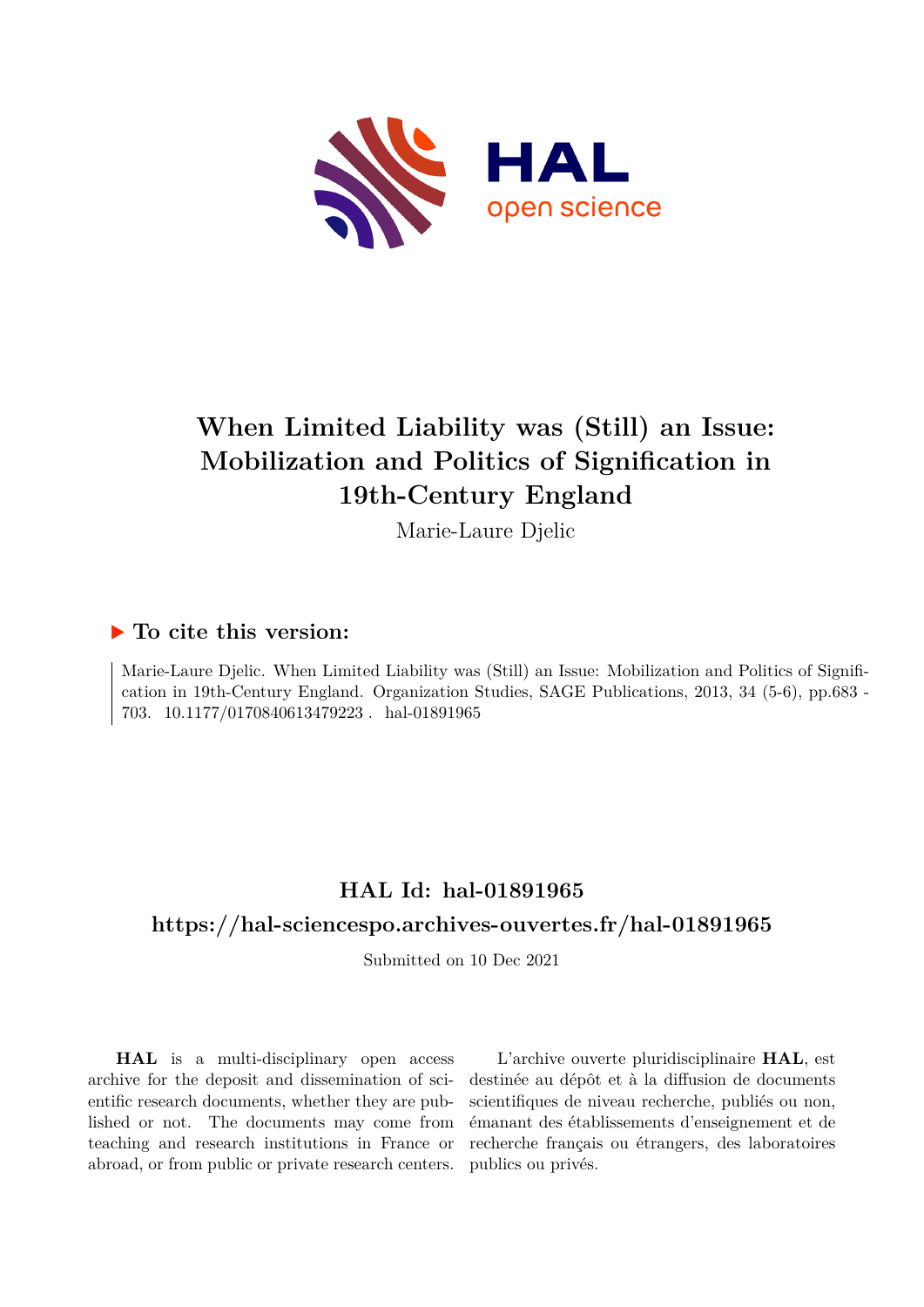

# **When Limited Liability was (Still) an Issue: Mobilization and Politics of Signification in 19th-Century England**

Marie-Laure Djelic

# **To cite this version:**

Marie-Laure Djelic. When Limited Liability was (Still) an Issue: Mobilization and Politics of Signification in 19th-Century England. Organization Studies, SAGE Publications, 2013, 34 (5-6), pp.683 - 703. 10.1177/0170840613479223. hal-01891965

# **HAL Id: hal-01891965**

# **<https://hal-sciencespo.archives-ouvertes.fr/hal-01891965>**

Submitted on 10 Dec 2021

**HAL** is a multi-disciplinary open access archive for the deposit and dissemination of scientific research documents, whether they are published or not. The documents may come from teaching and research institutions in France or abroad, or from public or private research centers.

L'archive ouverte pluridisciplinaire **HAL**, est destinée au dépôt et à la diffusion de documents scientifiques de niveau recherche, publiés ou non, émanant des établissements d'enseignement et de recherche français ou étrangers, des laboratoires publics ou privés.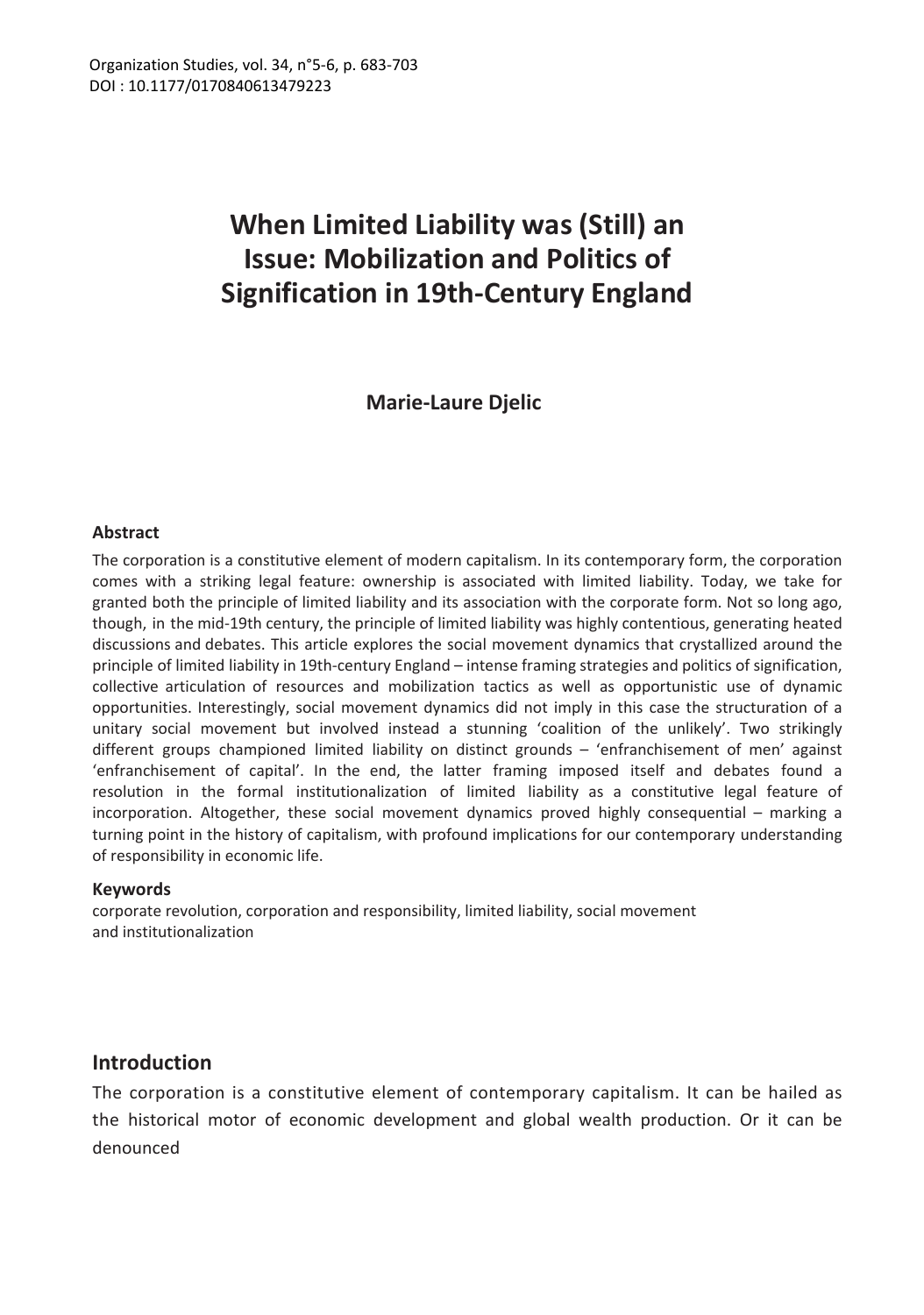# **When Limited Liability was (Still) an Issue: Mobilization and Politics of Signification in 19th-Century England**

**Marie-Laure Djelic**

#### **Abstract**

The corporation is a constitutive element of modern capitalism. In its contemporary form, the corporation comes with a striking legal feature: ownership is associated with limited liability. Today, we take for granted both the principle of limited liability and its association with the corporate form. Not so long ago, though, in the mid-19th century, the principle of limited liability was highly contentious, generating heated discussions and debates. This article explores the social movement dynamics that crystallized around the principle of limited liability in 19th-century England – intense framing strategies and politics of signification, collective articulation of resources and mobilization tactics as well as opportunistic use of dynamic opportunities. Interestingly, social movement dynamics did not imply in this case the structuration of a unitary social movement but involved instead a stunning 'coalition of the unlikely'. Two strikingly different groups championed limited liability on distinct grounds – 'enfranchisement of men' against 'enfranchisement of capital'. In the end, the latter framing imposed itself and debates found a resolution in the formal institutionalization of limited liability as a constitutive legal feature of incorporation. Altogether, these social movement dynamics proved highly consequential – marking a turning point in the history of capitalism, with profound implications for our contemporary understanding of responsibility in economic life.

#### **Keywords**

corporate revolution, corporation and responsibility, limited liability, social movement and institutionalization

# **Introduction**

The corporation is a constitutive element of contemporary capitalism. It can be hailed as the historical motor of economic development and global wealth production. Or it can be denounced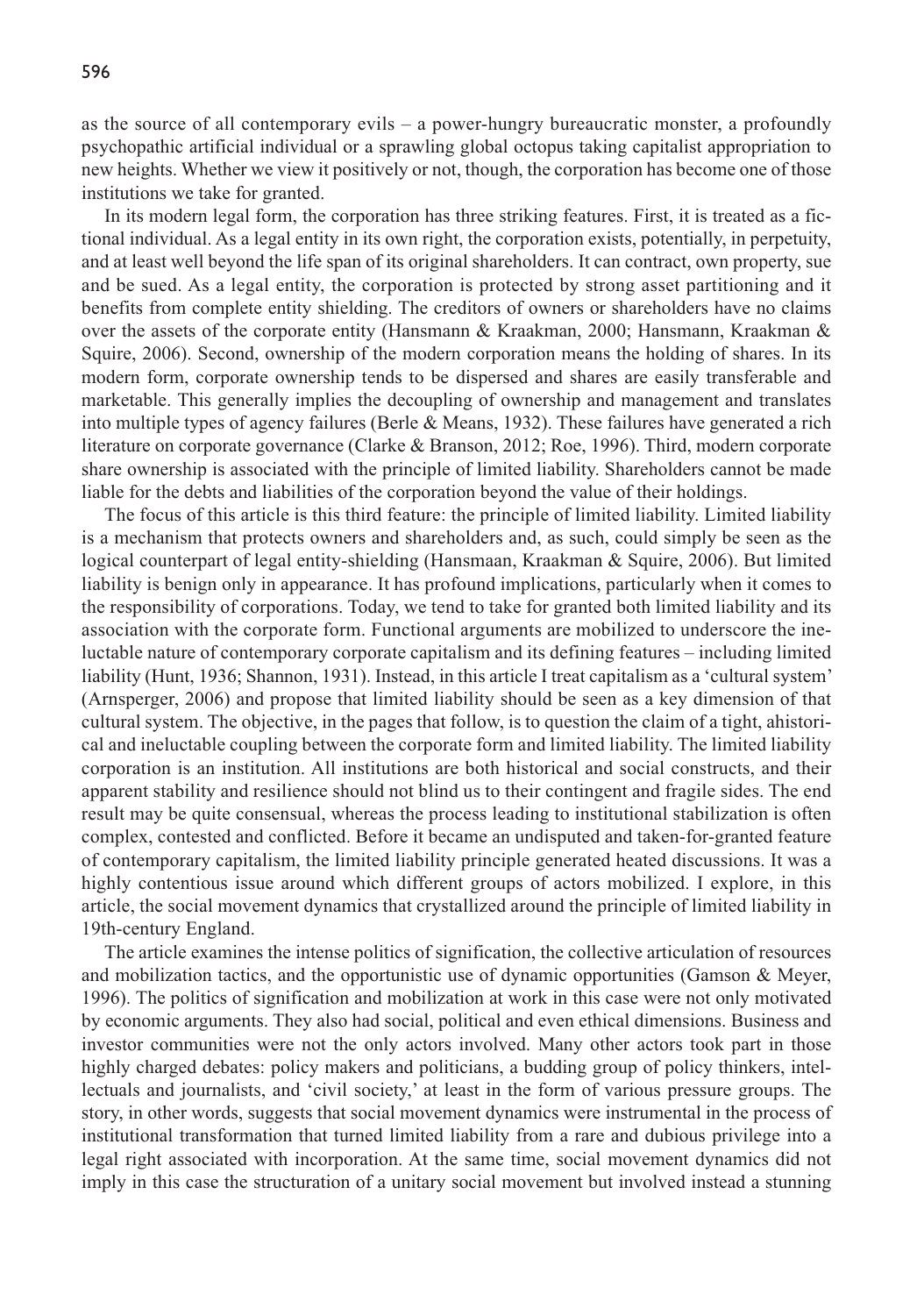as the source of all contemporary evils – a power-hungry bureaucratic monster, a profoundly psychopathic artificial individual or a sprawling global octopus taking capitalist appropriation to new heights. Whether we view it positively or not, though, the corporation has become one of those institutions we take for granted.

In its modern legal form, the corporation has three striking features. First, it is treated as a fictional individual. As a legal entity in its own right, the corporation exists, potentially, in perpetuity, and at least well beyond the life span of its original shareholders. It can contract, own property, sue and be sued. As a legal entity, the corporation is protected by strong asset partitioning and it benefits from complete entity shielding. The creditors of owners or shareholders have no claims over the assets of the corporate entity (Hansmann & Kraakman, 2000; Hansmann, Kraakman & Squire, 2006). Second, ownership of the modern corporation means the holding of shares. In its modern form, corporate ownership tends to be dispersed and shares are easily transferable and marketable. This generally implies the decoupling of ownership and management and translates into multiple types of agency failures (Berle & Means, 1932). These failures have generated a rich literature on corporate governance (Clarke & Branson, 2012; Roe, 1996). Third, modern corporate share ownership is associated with the principle of limited liability. Shareholders cannot be made liable for the debts and liabilities of the corporation beyond the value of their holdings.

The focus of this article is this third feature: the principle of limited liability. Limited liability is a mechanism that protects owners and shareholders and, as such, could simply be seen as the logical counterpart of legal entity-shielding (Hansmaan, Kraakman & Squire, 2006). But limited liability is benign only in appearance. It has profound implications, particularly when it comes to the responsibility of corporations. Today, we tend to take for granted both limited liability and its association with the corporate form. Functional arguments are mobilized to underscore the ineluctable nature of contemporary corporate capitalism and its defining features – including limited liability (Hunt, 1936; Shannon, 1931). Instead, in this article I treat capitalism as a 'cultural system' (Arnsperger, 2006) and propose that limited liability should be seen as a key dimension of that cultural system. The objective, in the pages that follow, is to question the claim of a tight, ahistorical and ineluctable coupling between the corporate form and limited liability. The limited liability corporation is an institution. All institutions are both historical and social constructs, and their apparent stability and resilience should not blind us to their contingent and fragile sides. The end result may be quite consensual, whereas the process leading to institutional stabilization is often complex, contested and conflicted. Before it became an undisputed and taken-for-granted feature of contemporary capitalism, the limited liability principle generated heated discussions. It was a highly contentious issue around which different groups of actors mobilized. I explore, in this article, the social movement dynamics that crystallized around the principle of limited liability in 19th-century England.

The article examines the intense politics of signification, the collective articulation of resources and mobilization tactics, and the opportunistic use of dynamic opportunities (Gamson & Meyer, 1996). The politics of signification and mobilization at work in this case were not only motivated by economic arguments. They also had social, political and even ethical dimensions. Business and investor communities were not the only actors involved. Many other actors took part in those highly charged debates: policy makers and politicians, a budding group of policy thinkers, intellectuals and journalists, and 'civil society,' at least in the form of various pressure groups. The story, in other words, suggests that social movement dynamics were instrumental in the process of institutional transformation that turned limited liability from a rare and dubious privilege into a legal right associated with incorporation. At the same time, social movement dynamics did not imply in this case the structuration of a unitary social movement but involved instead a stunning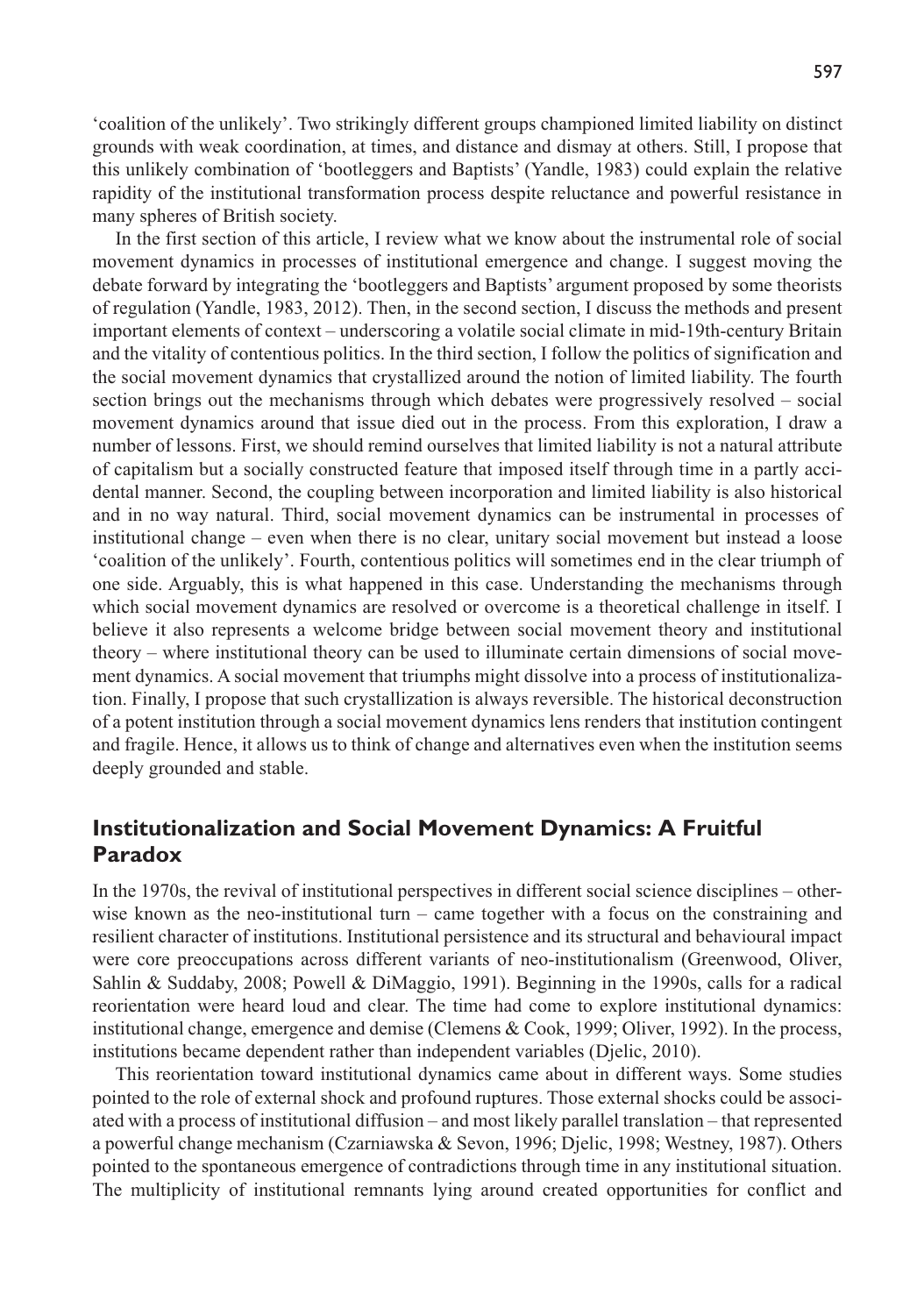597

'coalition of the unlikely'. Two strikingly different groups championed limited liability on distinct grounds with weak coordination, at times, and distance and dismay at others. Still, I propose that this unlikely combination of 'bootleggers and Baptists' (Yandle, 1983) could explain the relative rapidity of the institutional transformation process despite reluctance and powerful resistance in many spheres of British society.

In the first section of this article, I review what we know about the instrumental role of social movement dynamics in processes of institutional emergence and change. I suggest moving the debate forward by integrating the 'bootleggers and Baptists' argument proposed by some theorists of regulation (Yandle, 1983, 2012). Then, in the second section, I discuss the methods and present important elements of context – underscoring a volatile social climate in mid-19th-century Britain and the vitality of contentious politics. In the third section, I follow the politics of signification and the social movement dynamics that crystallized around the notion of limited liability. The fourth section brings out the mechanisms through which debates were progressively resolved – social movement dynamics around that issue died out in the process. From this exploration, I draw a number of lessons. First, we should remind ourselves that limited liability is not a natural attribute of capitalism but a socially constructed feature that imposed itself through time in a partly accidental manner. Second, the coupling between incorporation and limited liability is also historical and in no way natural. Third, social movement dynamics can be instrumental in processes of institutional change – even when there is no clear, unitary social movement but instead a loose 'coalition of the unlikely'. Fourth, contentious politics will sometimes end in the clear triumph of one side. Arguably, this is what happened in this case. Understanding the mechanisms through which social movement dynamics are resolved or overcome is a theoretical challenge in itself. I believe it also represents a welcome bridge between social movement theory and institutional theory – where institutional theory can be used to illuminate certain dimensions of social movement dynamics. A social movement that triumphs might dissolve into a process of institutionalization. Finally, I propose that such crystallization is always reversible. The historical deconstruction of a potent institution through a social movement dynamics lens renders that institution contingent and fragile. Hence, it allows us to think of change and alternatives even when the institution seems deeply grounded and stable.

# **Institutionalization and Social Movement Dynamics: A Fruitful Paradox**

In the 1970s, the revival of institutional perspectives in different social science disciplines – otherwise known as the neo-institutional turn – came together with a focus on the constraining and resilient character of institutions. Institutional persistence and its structural and behavioural impact were core preoccupations across different variants of neo-institutionalism (Greenwood, Oliver, Sahlin & Suddaby, 2008; Powell & DiMaggio, 1991). Beginning in the 1990s, calls for a radical reorientation were heard loud and clear. The time had come to explore institutional dynamics: institutional change, emergence and demise (Clemens & Cook, 1999; Oliver, 1992). In the process, institutions became dependent rather than independent variables (Djelic, 2010).

This reorientation toward institutional dynamics came about in different ways. Some studies pointed to the role of external shock and profound ruptures. Those external shocks could be associated with a process of institutional diffusion – and most likely parallel translation – that represented a powerful change mechanism (Czarniawska & Sevon, 1996; Djelic, 1998; Westney, 1987). Others pointed to the spontaneous emergence of contradictions through time in any institutional situation. The multiplicity of institutional remnants lying around created opportunities for conflict and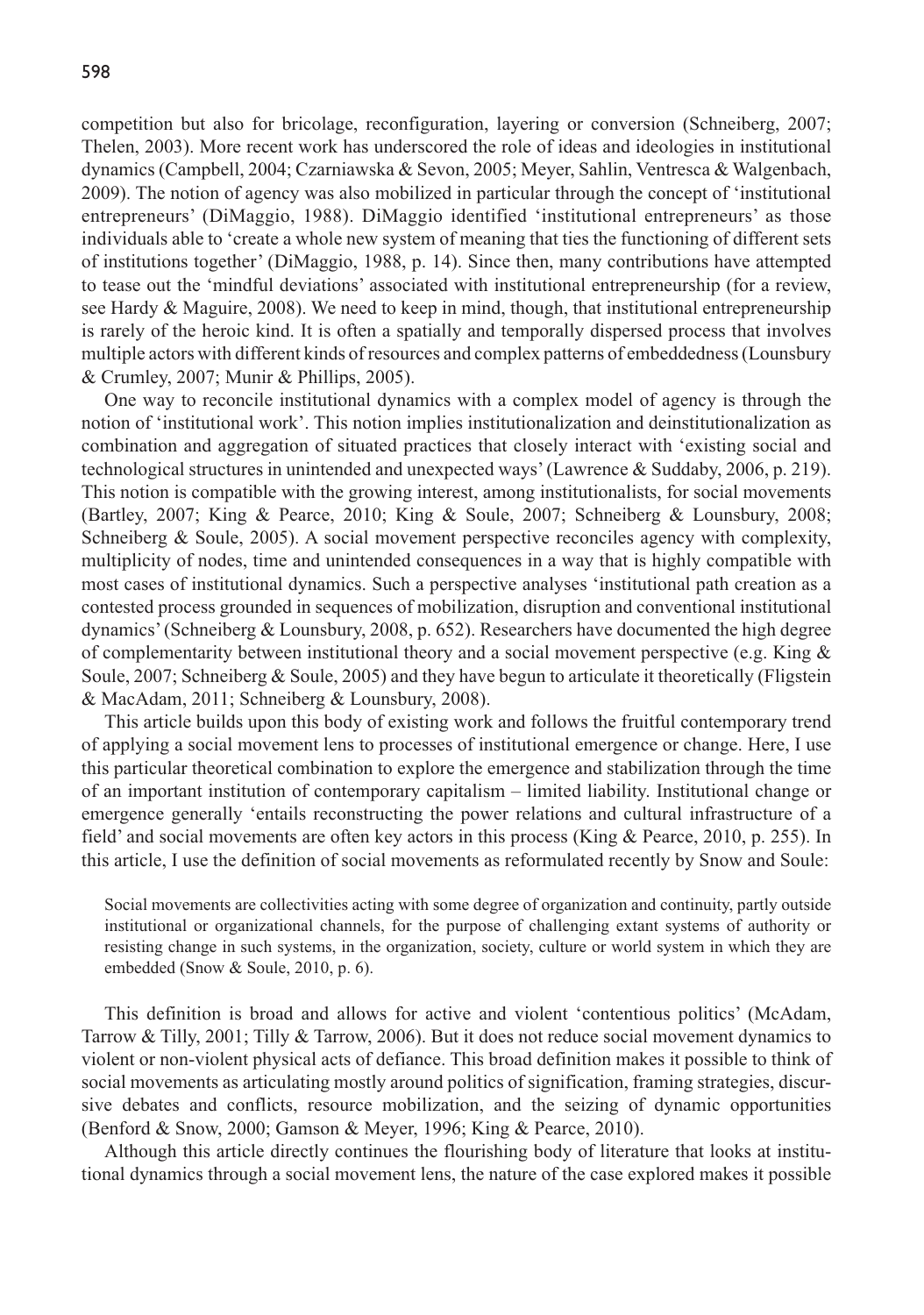competition but also for bricolage, reconfiguration, layering or conversion (Schneiberg, 2007; Thelen, 2003). More recent work has underscored the role of ideas and ideologies in institutional dynamics (Campbell, 2004; Czarniawska & Sevon, 2005; Meyer, Sahlin, Ventresca & Walgenbach, 2009). The notion of agency was also mobilized in particular through the concept of 'institutional entrepreneurs' (DiMaggio, 1988). DiMaggio identified 'institutional entrepreneurs' as those individuals able to 'create a whole new system of meaning that ties the functioning of different sets of institutions together' (DiMaggio, 1988, p. 14). Since then, many contributions have attempted to tease out the 'mindful deviations' associated with institutional entrepreneurship (for a review, see Hardy & Maguire, 2008). We need to keep in mind, though, that institutional entrepreneurship is rarely of the heroic kind. It is often a spatially and temporally dispersed process that involves multiple actors with different kinds of resources and complex patterns of embeddedness (Lounsbury & Crumley, 2007; Munir & Phillips, 2005).

One way to reconcile institutional dynamics with a complex model of agency is through the notion of 'institutional work'. This notion implies institutionalization and deinstitutionalization as combination and aggregation of situated practices that closely interact with 'existing social and technological structures in unintended and unexpected ways' (Lawrence & Suddaby, 2006, p. 219). This notion is compatible with the growing interest, among institutionalists, for social movements (Bartley, 2007; King & Pearce, 2010; King & Soule, 2007; Schneiberg & Lounsbury, 2008; Schneiberg & Soule, 2005). A social movement perspective reconciles agency with complexity, multiplicity of nodes, time and unintended consequences in a way that is highly compatible with most cases of institutional dynamics. Such a perspective analyses 'institutional path creation as a contested process grounded in sequences of mobilization, disruption and conventional institutional dynamics' (Schneiberg & Lounsbury, 2008, p. 652). Researchers have documented the high degree of complementarity between institutional theory and a social movement perspective (e.g. King & Soule, 2007; Schneiberg & Soule, 2005) and they have begun to articulate it theoretically (Fligstein & MacAdam, 2011; Schneiberg & Lounsbury, 2008).

This article builds upon this body of existing work and follows the fruitful contemporary trend of applying a social movement lens to processes of institutional emergence or change. Here, I use this particular theoretical combination to explore the emergence and stabilization through the time of an important institution of contemporary capitalism – limited liability. Institutional change or emergence generally 'entails reconstructing the power relations and cultural infrastructure of a field' and social movements are often key actors in this process (King & Pearce, 2010, p. 255). In this article, I use the definition of social movements as reformulated recently by Snow and Soule:

Social movements are collectivities acting with some degree of organization and continuity, partly outside institutional or organizational channels, for the purpose of challenging extant systems of authority or resisting change in such systems, in the organization, society, culture or world system in which they are embedded (Snow & Soule, 2010, p. 6).

This definition is broad and allows for active and violent 'contentious politics' (McAdam, Tarrow & Tilly, 2001; Tilly & Tarrow, 2006). But it does not reduce social movement dynamics to violent or non-violent physical acts of defiance. This broad definition makes it possible to think of social movements as articulating mostly around politics of signification, framing strategies, discursive debates and conflicts, resource mobilization, and the seizing of dynamic opportunities (Benford & Snow, 2000; Gamson & Meyer, 1996; King & Pearce, 2010).

Although this article directly continues the flourishing body of literature that looks at institutional dynamics through a social movement lens, the nature of the case explored makes it possible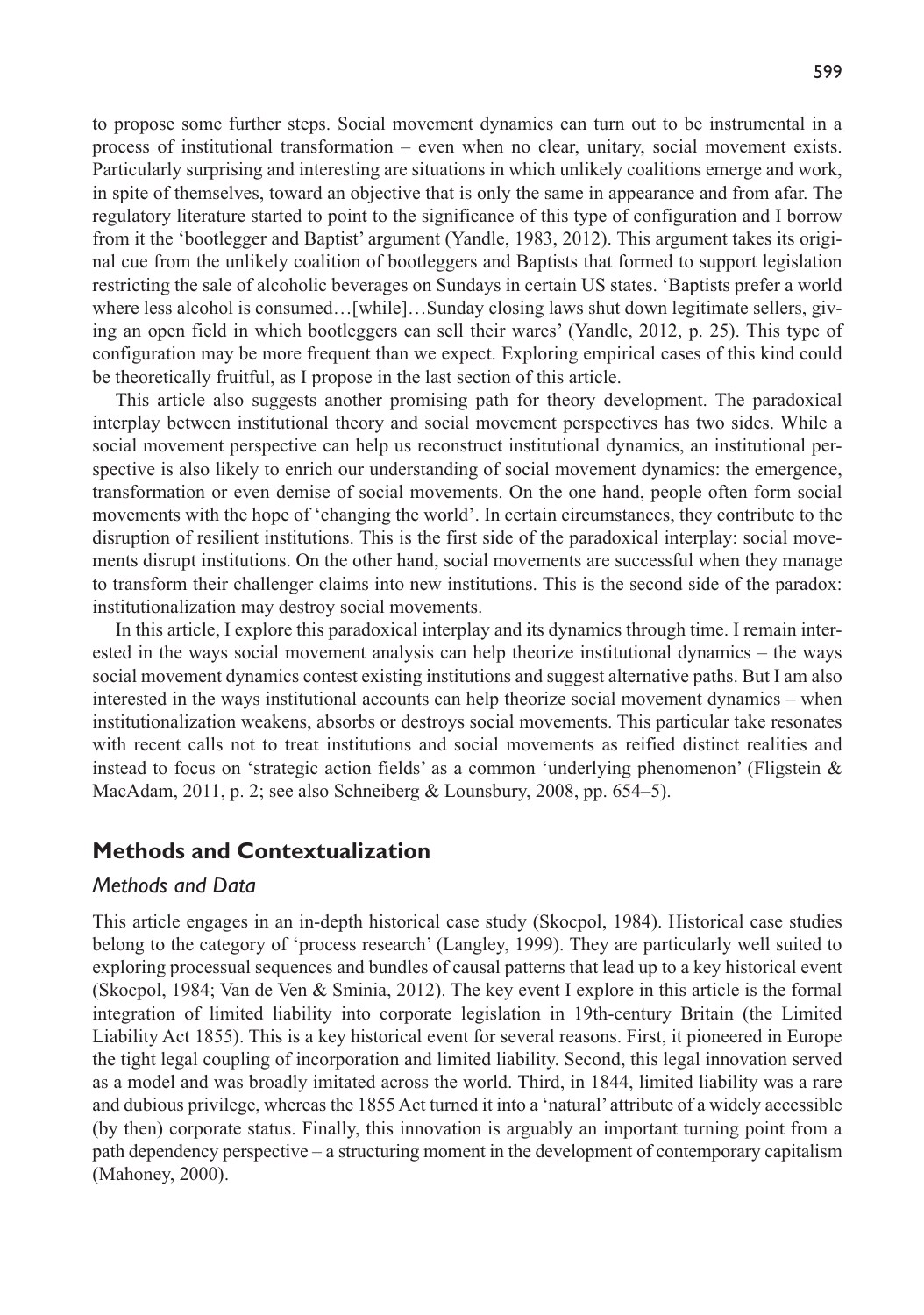to propose some further steps. Social movement dynamics can turn out to be instrumental in a process of institutional transformation – even when no clear, unitary, social movement exists. Particularly surprising and interesting are situations in which unlikely coalitions emerge and work, in spite of themselves, toward an objective that is only the same in appearance and from afar. The regulatory literature started to point to the significance of this type of configuration and I borrow from it the 'bootlegger and Baptist' argument (Yandle, 1983, 2012). This argument takes its original cue from the unlikely coalition of bootleggers and Baptists that formed to support legislation restricting the sale of alcoholic beverages on Sundays in certain US states. 'Baptists prefer a world where less alcohol is consumed…[while]…Sunday closing laws shut down legitimate sellers, giving an open field in which bootleggers can sell their wares' (Yandle, 2012, p. 25). This type of configuration may be more frequent than we expect. Exploring empirical cases of this kind could be theoretically fruitful, as I propose in the last section of this article.

This article also suggests another promising path for theory development. The paradoxical interplay between institutional theory and social movement perspectives has two sides. While a social movement perspective can help us reconstruct institutional dynamics, an institutional perspective is also likely to enrich our understanding of social movement dynamics: the emergence, transformation or even demise of social movements. On the one hand, people often form social movements with the hope of 'changing the world'. In certain circumstances, they contribute to the disruption of resilient institutions. This is the first side of the paradoxical interplay: social movements disrupt institutions. On the other hand, social movements are successful when they manage to transform their challenger claims into new institutions. This is the second side of the paradox: institutionalization may destroy social movements.

In this article, I explore this paradoxical interplay and its dynamics through time. I remain interested in the ways social movement analysis can help theorize institutional dynamics – the ways social movement dynamics contest existing institutions and suggest alternative paths. But I am also interested in the ways institutional accounts can help theorize social movement dynamics – when institutionalization weakens, absorbs or destroys social movements. This particular take resonates with recent calls not to treat institutions and social movements as reified distinct realities and instead to focus on 'strategic action fields' as a common 'underlying phenomenon' (Fligstein & MacAdam, 2011, p. 2; see also Schneiberg & Lounsbury, 2008, pp. 654–5).

# **Methods and Contextualization**

### *Methods and Data*

This article engages in an in-depth historical case study (Skocpol, 1984). Historical case studies belong to the category of 'process research' (Langley, 1999). They are particularly well suited to exploring processual sequences and bundles of causal patterns that lead up to a key historical event (Skocpol, 1984; Van de Ven & Sminia, 2012). The key event I explore in this article is the formal integration of limited liability into corporate legislation in 19th-century Britain (the Limited Liability Act 1855). This is a key historical event for several reasons. First, it pioneered in Europe the tight legal coupling of incorporation and limited liability. Second, this legal innovation served as a model and was broadly imitated across the world. Third, in 1844, limited liability was a rare and dubious privilege, whereas the 1855 Act turned it into a 'natural' attribute of a widely accessible (by then) corporate status. Finally, this innovation is arguably an important turning point from a path dependency perspective – a structuring moment in the development of contemporary capitalism (Mahoney, 2000).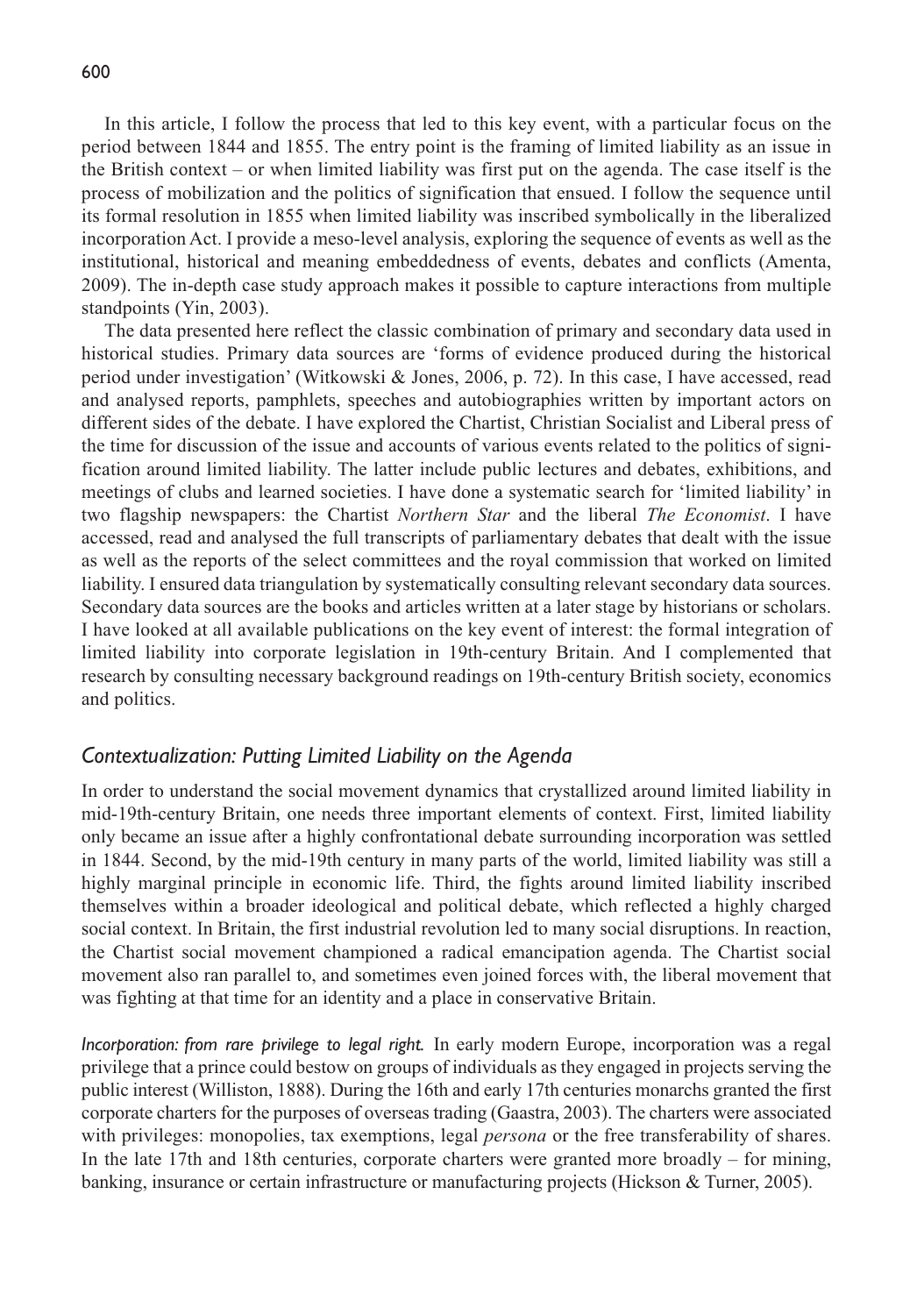In this article, I follow the process that led to this key event, with a particular focus on the period between 1844 and 1855. The entry point is the framing of limited liability as an issue in the British context – or when limited liability was first put on the agenda. The case itself is the process of mobilization and the politics of signification that ensued. I follow the sequence until its formal resolution in 1855 when limited liability was inscribed symbolically in the liberalized incorporation Act. I provide a meso-level analysis, exploring the sequence of events as well as the institutional, historical and meaning embeddedness of events, debates and conflicts (Amenta, 2009). The in-depth case study approach makes it possible to capture interactions from multiple standpoints (Yin, 2003).

The data presented here reflect the classic combination of primary and secondary data used in historical studies. Primary data sources are 'forms of evidence produced during the historical period under investigation' (Witkowski & Jones, 2006, p. 72). In this case, I have accessed, read and analysed reports, pamphlets, speeches and autobiographies written by important actors on different sides of the debate. I have explored the Chartist, Christian Socialist and Liberal press of the time for discussion of the issue and accounts of various events related to the politics of signification around limited liability. The latter include public lectures and debates, exhibitions, and meetings of clubs and learned societies. I have done a systematic search for 'limited liability' in two flagship newspapers: the Chartist *Northern Star* and the liberal *The Economist*. I have accessed, read and analysed the full transcripts of parliamentary debates that dealt with the issue as well as the reports of the select committees and the royal commission that worked on limited liability. I ensured data triangulation by systematically consulting relevant secondary data sources. Secondary data sources are the books and articles written at a later stage by historians or scholars. I have looked at all available publications on the key event of interest: the formal integration of limited liability into corporate legislation in 19th-century Britain. And I complemented that research by consulting necessary background readings on 19th-century British society, economics and politics.

#### *Contextualization: Putting Limited Liability on the Agenda*

In order to understand the social movement dynamics that crystallized around limited liability in mid-19th-century Britain, one needs three important elements of context. First, limited liability only became an issue after a highly confrontational debate surrounding incorporation was settled in 1844. Second, by the mid-19th century in many parts of the world, limited liability was still a highly marginal principle in economic life. Third, the fights around limited liability inscribed themselves within a broader ideological and political debate, which reflected a highly charged social context. In Britain, the first industrial revolution led to many social disruptions. In reaction, the Chartist social movement championed a radical emancipation agenda. The Chartist social movement also ran parallel to, and sometimes even joined forces with, the liberal movement that was fighting at that time for an identity and a place in conservative Britain.

*Incorporation: from rare privilege to legal right.* In early modern Europe, incorporation was a regal privilege that a prince could bestow on groups of individuals as they engaged in projects serving the public interest (Williston, 1888). During the 16th and early 17th centuries monarchs granted the first corporate charters for the purposes of overseas trading (Gaastra, 2003). The charters were associated with privileges: monopolies, tax exemptions, legal *persona* or the free transferability of shares. In the late 17th and 18th centuries, corporate charters were granted more broadly – for mining, banking, insurance or certain infrastructure or manufacturing projects (Hickson & Turner, 2005).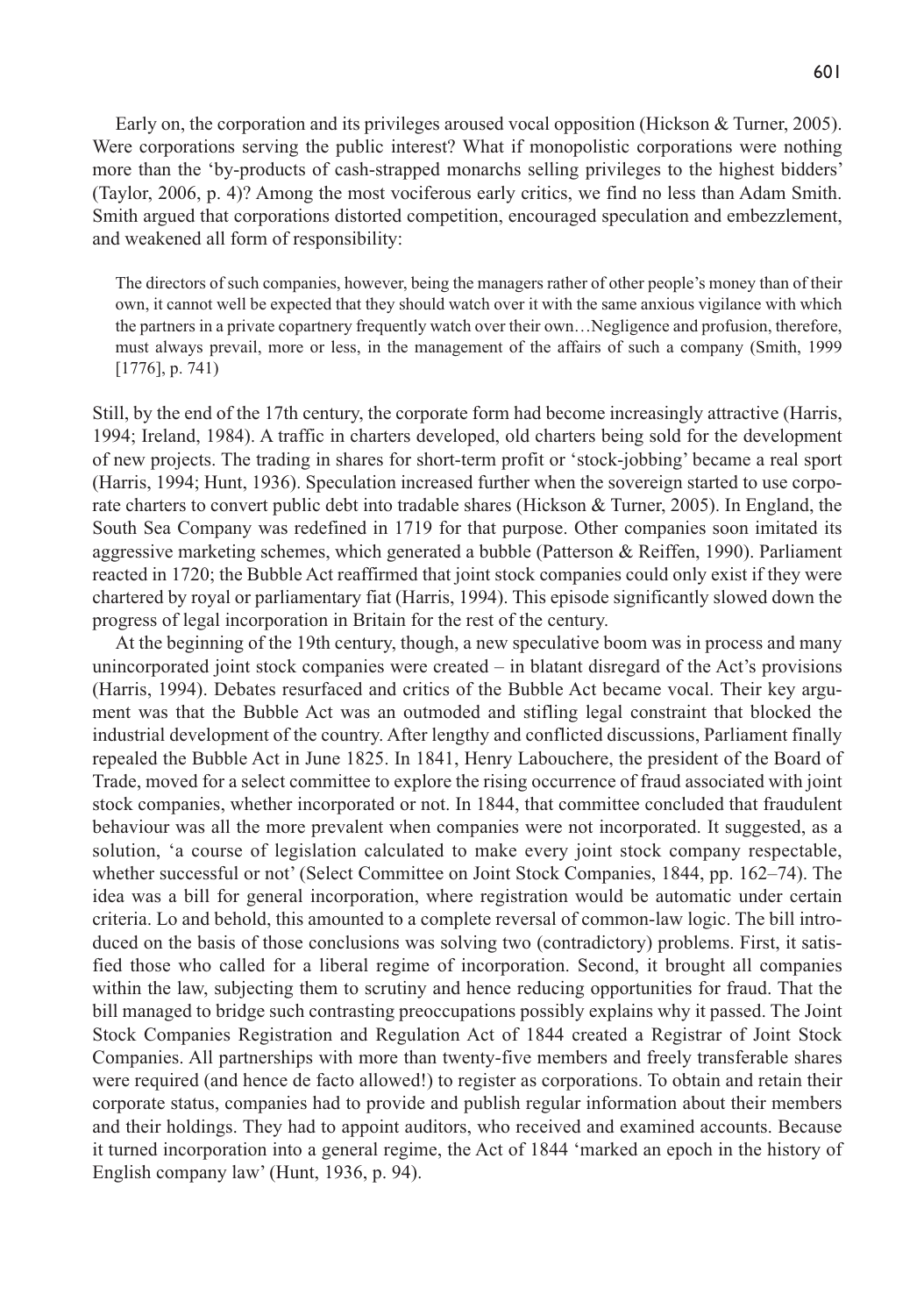Early on, the corporation and its privileges aroused vocal opposition (Hickson & Turner, 2005). Were corporations serving the public interest? What if monopolistic corporations were nothing more than the 'by-products of cash-strapped monarchs selling privileges to the highest bidders' (Taylor, 2006, p. 4)? Among the most vociferous early critics, we find no less than Adam Smith. Smith argued that corporations distorted competition, encouraged speculation and embezzlement, and weakened all form of responsibility:

The directors of such companies, however, being the managers rather of other people's money than of their own, it cannot well be expected that they should watch over it with the same anxious vigilance with which the partners in a private copartnery frequently watch over their own…Negligence and profusion, therefore, must always prevail, more or less, in the management of the affairs of such a company (Smith, 1999 [1776], p. 741)

Still, by the end of the 17th century, the corporate form had become increasingly attractive (Harris, 1994; Ireland, 1984). A traffic in charters developed, old charters being sold for the development of new projects. The trading in shares for short-term profit or 'stock-jobbing' became a real sport (Harris, 1994; Hunt, 1936). Speculation increased further when the sovereign started to use corporate charters to convert public debt into tradable shares (Hickson & Turner, 2005). In England, the South Sea Company was redefined in 1719 for that purpose. Other companies soon imitated its aggressive marketing schemes, which generated a bubble (Patterson & Reiffen, 1990). Parliament reacted in 1720; the Bubble Act reaffirmed that joint stock companies could only exist if they were chartered by royal or parliamentary fiat (Harris, 1994). This episode significantly slowed down the progress of legal incorporation in Britain for the rest of the century.

At the beginning of the 19th century, though, a new speculative boom was in process and many unincorporated joint stock companies were created – in blatant disregard of the Act's provisions (Harris, 1994). Debates resurfaced and critics of the Bubble Act became vocal. Their key argument was that the Bubble Act was an outmoded and stifling legal constraint that blocked the industrial development of the country. After lengthy and conflicted discussions, Parliament finally repealed the Bubble Act in June 1825. In 1841, Henry Labouchere, the president of the Board of Trade, moved for a select committee to explore the rising occurrence of fraud associated with joint stock companies, whether incorporated or not. In 1844, that committee concluded that fraudulent behaviour was all the more prevalent when companies were not incorporated. It suggested, as a solution, 'a course of legislation calculated to make every joint stock company respectable, whether successful or not' (Select Committee on Joint Stock Companies, 1844, pp. 162–74). The idea was a bill for general incorporation, where registration would be automatic under certain criteria. Lo and behold, this amounted to a complete reversal of common-law logic. The bill introduced on the basis of those conclusions was solving two (contradictory) problems. First, it satisfied those who called for a liberal regime of incorporation. Second, it brought all companies within the law, subjecting them to scrutiny and hence reducing opportunities for fraud. That the bill managed to bridge such contrasting preoccupations possibly explains why it passed. The Joint Stock Companies Registration and Regulation Act of 1844 created a Registrar of Joint Stock Companies. All partnerships with more than twenty-five members and freely transferable shares were required (and hence de facto allowed!) to register as corporations. To obtain and retain their corporate status, companies had to provide and publish regular information about their members and their holdings. They had to appoint auditors, who received and examined accounts. Because it turned incorporation into a general regime, the Act of 1844 'marked an epoch in the history of English company law' (Hunt, 1936, p. 94).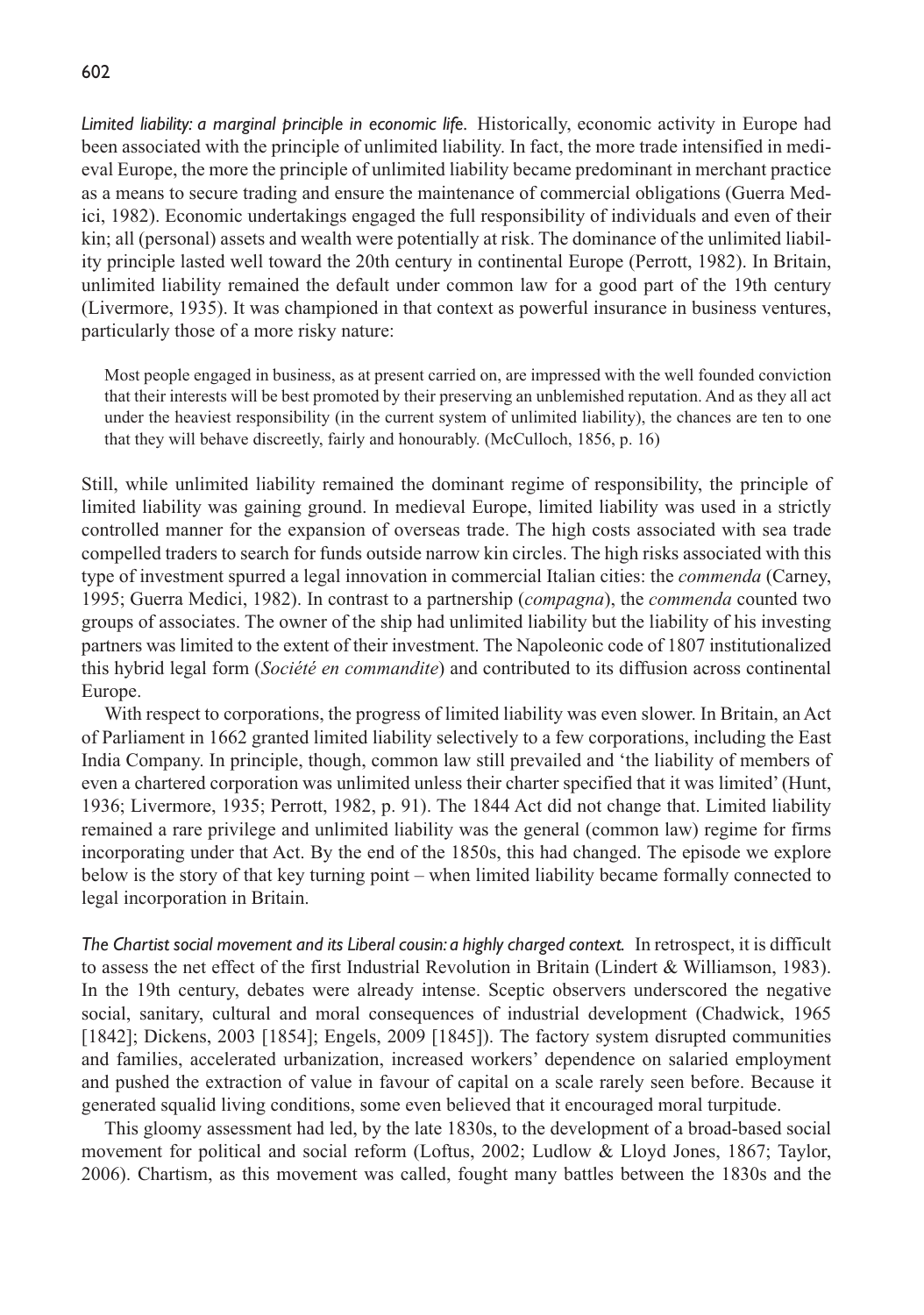*Limited liability: a marginal principle in economic life.* Historically, economic activity in Europe had been associated with the principle of unlimited liability. In fact, the more trade intensified in medieval Europe, the more the principle of unlimited liability became predominant in merchant practice as a means to secure trading and ensure the maintenance of commercial obligations (Guerra Medici, 1982). Economic undertakings engaged the full responsibility of individuals and even of their kin; all (personal) assets and wealth were potentially at risk. The dominance of the unlimited liability principle lasted well toward the 20th century in continental Europe (Perrott, 1982). In Britain, unlimited liability remained the default under common law for a good part of the 19th century (Livermore, 1935). It was championed in that context as powerful insurance in business ventures, particularly those of a more risky nature:

Most people engaged in business, as at present carried on, are impressed with the well founded conviction that their interests will be best promoted by their preserving an unblemished reputation. And as they all act under the heaviest responsibility (in the current system of unlimited liability), the chances are ten to one that they will behave discreetly, fairly and honourably. (McCulloch, 1856, p. 16)

Still, while unlimited liability remained the dominant regime of responsibility, the principle of limited liability was gaining ground. In medieval Europe, limited liability was used in a strictly controlled manner for the expansion of overseas trade. The high costs associated with sea trade compelled traders to search for funds outside narrow kin circles. The high risks associated with this type of investment spurred a legal innovation in commercial Italian cities: the *commenda* (Carney, 1995; Guerra Medici, 1982). In contrast to a partnership (*compagna*), the *commenda* counted two groups of associates. The owner of the ship had unlimited liability but the liability of his investing partners was limited to the extent of their investment. The Napoleonic code of 1807 institutionalized this hybrid legal form (*Société en commandite*) and contributed to its diffusion across continental Europe.

With respect to corporations, the progress of limited liability was even slower. In Britain, an Act of Parliament in 1662 granted limited liability selectively to a few corporations, including the East India Company. In principle, though, common law still prevailed and 'the liability of members of even a chartered corporation was unlimited unless their charter specified that it was limited' (Hunt, 1936; Livermore, 1935; Perrott, 1982, p. 91). The 1844 Act did not change that. Limited liability remained a rare privilege and unlimited liability was the general (common law) regime for firms incorporating under that Act. By the end of the 1850s, this had changed. The episode we explore below is the story of that key turning point – when limited liability became formally connected to legal incorporation in Britain.

*The Chartist social movement and its Liberal cousin: a highly charged context.* In retrospect, it is difficult to assess the net effect of the first Industrial Revolution in Britain (Lindert & Williamson, 1983). In the 19th century, debates were already intense. Sceptic observers underscored the negative social, sanitary, cultural and moral consequences of industrial development (Chadwick, 1965 [1842]; Dickens, 2003 [1854]; Engels, 2009 [1845]). The factory system disrupted communities and families, accelerated urbanization, increased workers' dependence on salaried employment and pushed the extraction of value in favour of capital on a scale rarely seen before. Because it generated squalid living conditions, some even believed that it encouraged moral turpitude.

This gloomy assessment had led, by the late 1830s, to the development of a broad-based social movement for political and social reform (Loftus, 2002; Ludlow & Lloyd Jones, 1867; Taylor, 2006). Chartism, as this movement was called, fought many battles between the 1830s and the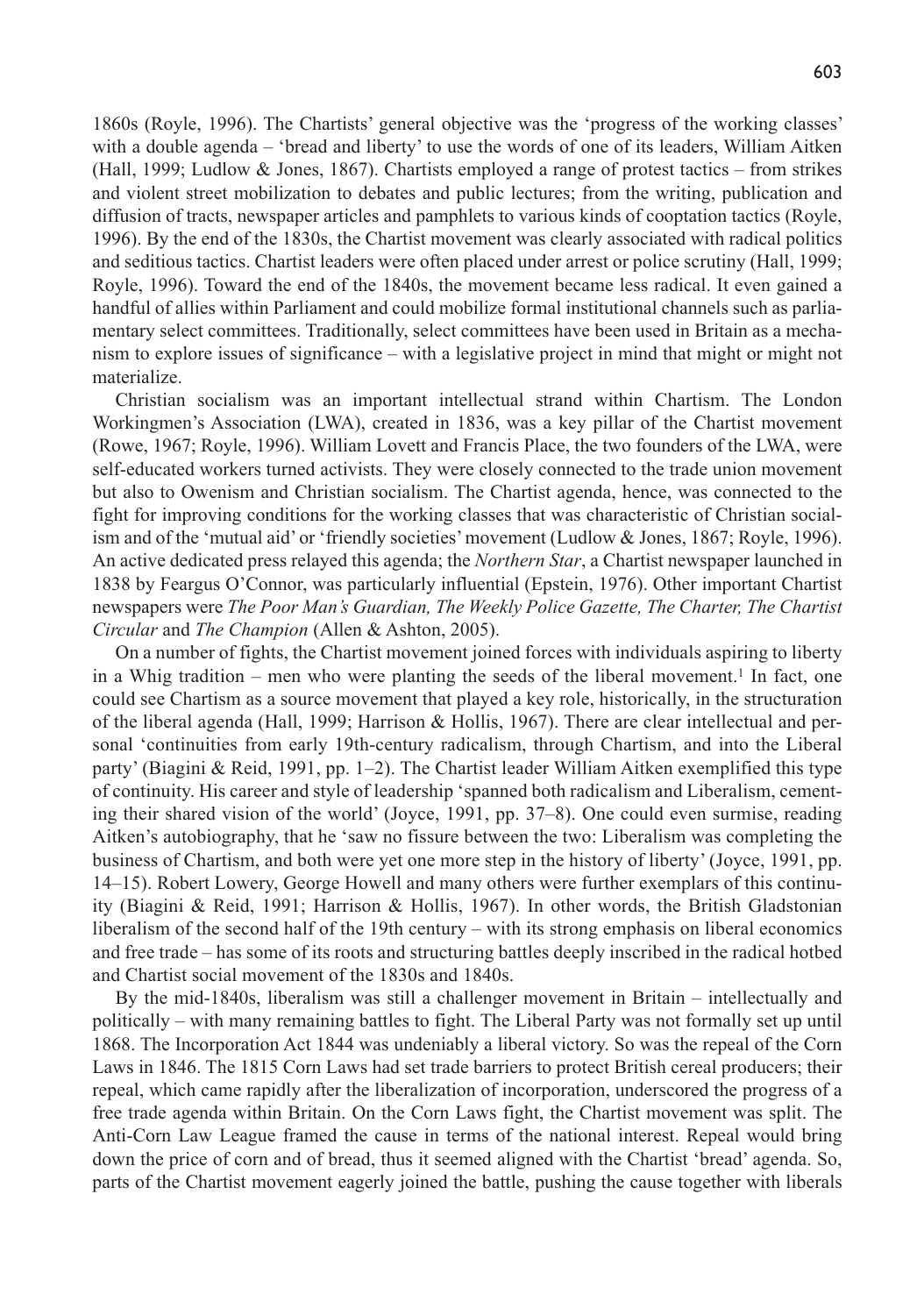1860s (Royle, 1996). The Chartists' general objective was the 'progress of the working classes' with a double agenda – 'bread and liberty' to use the words of one of its leaders, William Aitken (Hall, 1999; Ludlow & Jones, 1867). Chartists employed a range of protest tactics – from strikes and violent street mobilization to debates and public lectures; from the writing, publication and diffusion of tracts, newspaper articles and pamphlets to various kinds of cooptation tactics (Royle, 1996). By the end of the 1830s, the Chartist movement was clearly associated with radical politics and seditious tactics. Chartist leaders were often placed under arrest or police scrutiny (Hall, 1999; Royle, 1996). Toward the end of the 1840s, the movement became less radical. It even gained a handful of allies within Parliament and could mobilize formal institutional channels such as parliamentary select committees. Traditionally, select committees have been used in Britain as a mechanism to explore issues of significance – with a legislative project in mind that might or might not materialize.

Christian socialism was an important intellectual strand within Chartism. The London Workingmen's Association (LWA), created in 1836, was a key pillar of the Chartist movement (Rowe, 1967; Royle, 1996). William Lovett and Francis Place, the two founders of the LWA, were self-educated workers turned activists. They were closely connected to the trade union movement but also to Owenism and Christian socialism. The Chartist agenda, hence, was connected to the fight for improving conditions for the working classes that was characteristic of Christian socialism and of the 'mutual aid' or 'friendly societies' movement (Ludlow & Jones, 1867; Royle, 1996). An active dedicated press relayed this agenda; the *Northern Star*, a Chartist newspaper launched in 1838 by Feargus O'Connor, was particularly influential (Epstein, 1976). Other important Chartist newspapers were *The Poor Man's Guardian, The Weekly Police Gazette, The Charter, The Chartist Circular* and *The Champion* (Allen & Ashton, 2005).

On a number of fights, the Chartist movement joined forces with individuals aspiring to liberty in a Whig tradition – men who were planting the seeds of the liberal movement.<sup>1</sup> In fact, one could see Chartism as a source movement that played a key role, historically, in the structuration of the liberal agenda (Hall, 1999; Harrison & Hollis, 1967). There are clear intellectual and personal 'continuities from early 19th-century radicalism, through Chartism, and into the Liberal party' (Biagini & Reid, 1991, pp. 1–2). The Chartist leader William Aitken exemplified this type of continuity. His career and style of leadership 'spanned both radicalism and Liberalism, cementing their shared vision of the world' (Joyce, 1991, pp. 37–8). One could even surmise, reading Aitken's autobiography, that he 'saw no fissure between the two: Liberalism was completing the business of Chartism, and both were yet one more step in the history of liberty' (Joyce, 1991, pp. 14–15). Robert Lowery, George Howell and many others were further exemplars of this continuity (Biagini & Reid, 1991; Harrison & Hollis, 1967). In other words, the British Gladstonian liberalism of the second half of the 19th century – with its strong emphasis on liberal economics and free trade – has some of its roots and structuring battles deeply inscribed in the radical hotbed and Chartist social movement of the 1830s and 1840s.

By the mid-1840s, liberalism was still a challenger movement in Britain – intellectually and politically – with many remaining battles to fight. The Liberal Party was not formally set up until 1868. The Incorporation Act 1844 was undeniably a liberal victory. So was the repeal of the Corn Laws in 1846. The 1815 Corn Laws had set trade barriers to protect British cereal producers; their repeal, which came rapidly after the liberalization of incorporation, underscored the progress of a free trade agenda within Britain. On the Corn Laws fight, the Chartist movement was split. The Anti-Corn Law League framed the cause in terms of the national interest. Repeal would bring down the price of corn and of bread, thus it seemed aligned with the Chartist 'bread' agenda. So, parts of the Chartist movement eagerly joined the battle, pushing the cause together with liberals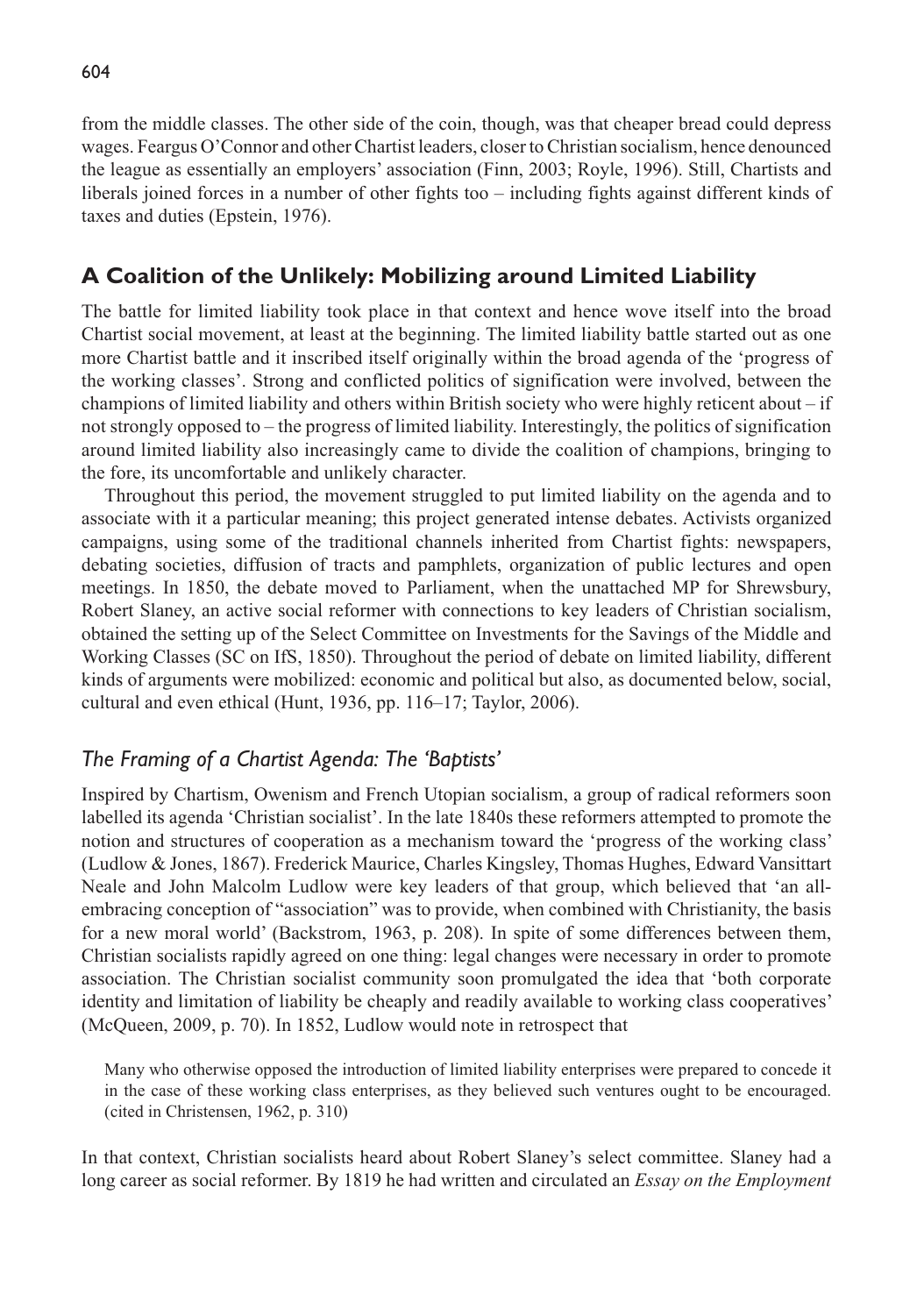from the middle classes. The other side of the coin, though, was that cheaper bread could depress wages. Feargus O'Connor and other Chartist leaders, closer to Christian socialism, hence denounced the league as essentially an employers' association (Finn, 2003; Royle, 1996). Still, Chartists and liberals joined forces in a number of other fights too – including fights against different kinds of taxes and duties (Epstein, 1976).

# **A Coalition of the Unlikely: Mobilizing around Limited Liability**

The battle for limited liability took place in that context and hence wove itself into the broad Chartist social movement, at least at the beginning. The limited liability battle started out as one more Chartist battle and it inscribed itself originally within the broad agenda of the 'progress of the working classes'. Strong and conflicted politics of signification were involved, between the champions of limited liability and others within British society who were highly reticent about – if not strongly opposed to – the progress of limited liability. Interestingly, the politics of signification around limited liability also increasingly came to divide the coalition of champions, bringing to the fore, its uncomfortable and unlikely character.

Throughout this period, the movement struggled to put limited liability on the agenda and to associate with it a particular meaning; this project generated intense debates. Activists organized campaigns, using some of the traditional channels inherited from Chartist fights: newspapers, debating societies, diffusion of tracts and pamphlets, organization of public lectures and open meetings. In 1850, the debate moved to Parliament, when the unattached MP for Shrewsbury, Robert Slaney, an active social reformer with connections to key leaders of Christian socialism, obtained the setting up of the Select Committee on Investments for the Savings of the Middle and Working Classes (SC on IfS, 1850). Throughout the period of debate on limited liability, different kinds of arguments were mobilized: economic and political but also, as documented below, social, cultural and even ethical (Hunt, 1936, pp. 116–17; Taylor, 2006).

# *The Framing of a Chartist Agenda: The 'Baptists'*

Inspired by Chartism, Owenism and French Utopian socialism, a group of radical reformers soon labelled its agenda 'Christian socialist'. In the late 1840s these reformers attempted to promote the notion and structures of cooperation as a mechanism toward the 'progress of the working class' (Ludlow & Jones, 1867). Frederick Maurice, Charles Kingsley, Thomas Hughes, Edward Vansittart Neale and John Malcolm Ludlow were key leaders of that group, which believed that 'an allembracing conception of "association" was to provide, when combined with Christianity, the basis for a new moral world' (Backstrom, 1963, p. 208). In spite of some differences between them, Christian socialists rapidly agreed on one thing: legal changes were necessary in order to promote association. The Christian socialist community soon promulgated the idea that 'both corporate identity and limitation of liability be cheaply and readily available to working class cooperatives' (McQueen, 2009, p. 70). In 1852, Ludlow would note in retrospect that

Many who otherwise opposed the introduction of limited liability enterprises were prepared to concede it in the case of these working class enterprises, as they believed such ventures ought to be encouraged. (cited in Christensen, 1962, p. 310)

In that context, Christian socialists heard about Robert Slaney's select committee. Slaney had a long career as social reformer. By 1819 he had written and circulated an *Essay on the Employment*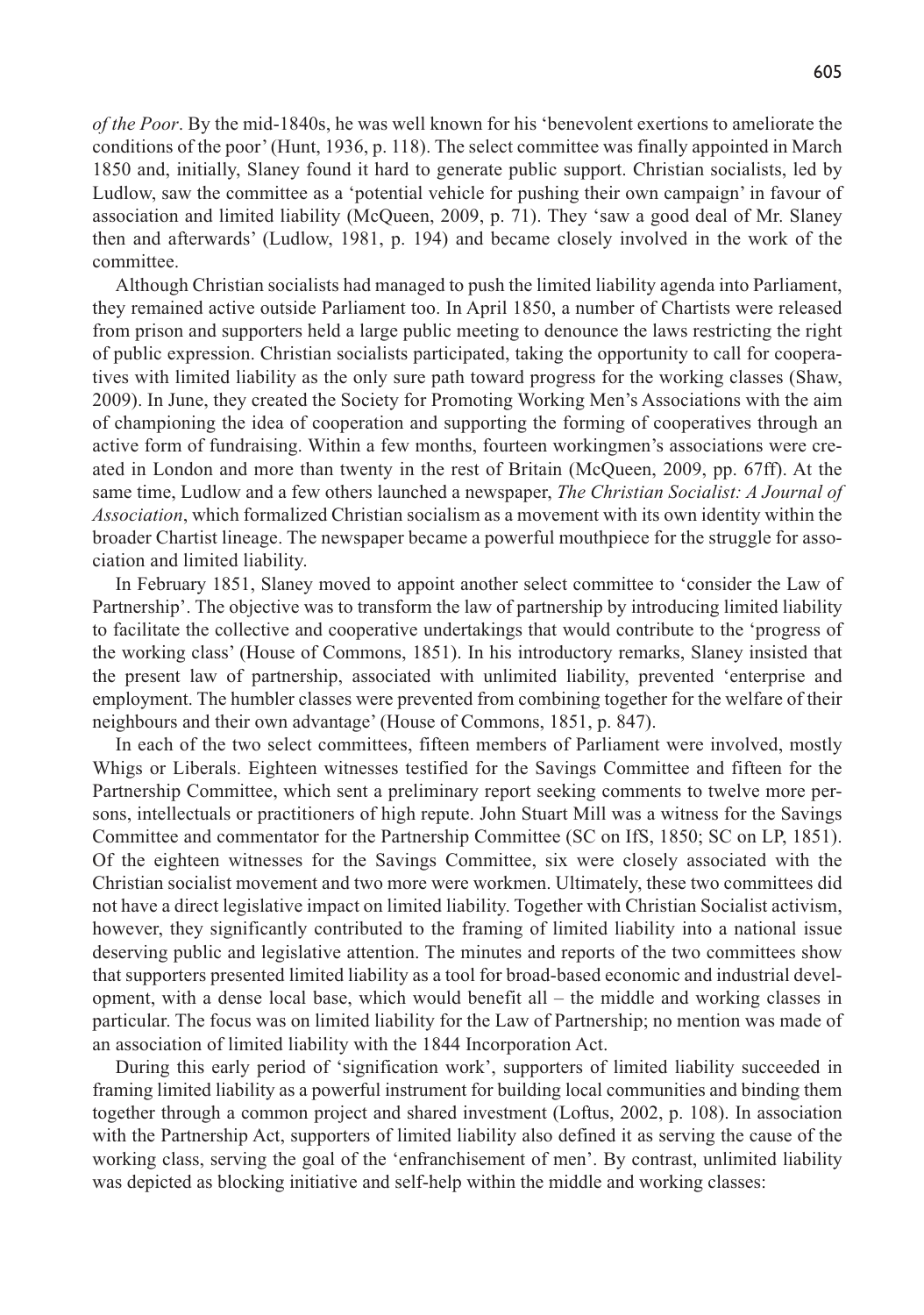*of the Poor*. By the mid-1840s, he was well known for his 'benevolent exertions to ameliorate the conditions of the poor' (Hunt, 1936, p. 118). The select committee was finally appointed in March 1850 and, initially, Slaney found it hard to generate public support. Christian socialists, led by Ludlow, saw the committee as a 'potential vehicle for pushing their own campaign' in favour of association and limited liability (McQueen, 2009, p. 71). They 'saw a good deal of Mr. Slaney then and afterwards' (Ludlow, 1981, p. 194) and became closely involved in the work of the committee.

Although Christian socialists had managed to push the limited liability agenda into Parliament, they remained active outside Parliament too. In April 1850, a number of Chartists were released from prison and supporters held a large public meeting to denounce the laws restricting the right of public expression. Christian socialists participated, taking the opportunity to call for cooperatives with limited liability as the only sure path toward progress for the working classes (Shaw, 2009). In June, they created the Society for Promoting Working Men's Associations with the aim of championing the idea of cooperation and supporting the forming of cooperatives through an active form of fundraising. Within a few months, fourteen workingmen's associations were created in London and more than twenty in the rest of Britain (McQueen, 2009, pp. 67ff). At the same time, Ludlow and a few others launched a newspaper, *The Christian Socialist: A Journal of Association*, which formalized Christian socialism as a movement with its own identity within the broader Chartist lineage. The newspaper became a powerful mouthpiece for the struggle for association and limited liability.

In February 1851, Slaney moved to appoint another select committee to 'consider the Law of Partnership'. The objective was to transform the law of partnership by introducing limited liability to facilitate the collective and cooperative undertakings that would contribute to the 'progress of the working class' (House of Commons, 1851). In his introductory remarks, Slaney insisted that the present law of partnership, associated with unlimited liability, prevented 'enterprise and employment. The humbler classes were prevented from combining together for the welfare of their neighbours and their own advantage' (House of Commons, 1851, p. 847).

In each of the two select committees, fifteen members of Parliament were involved, mostly Whigs or Liberals. Eighteen witnesses testified for the Savings Committee and fifteen for the Partnership Committee, which sent a preliminary report seeking comments to twelve more persons, intellectuals or practitioners of high repute. John Stuart Mill was a witness for the Savings Committee and commentator for the Partnership Committee (SC on IfS, 1850; SC on LP, 1851). Of the eighteen witnesses for the Savings Committee, six were closely associated with the Christian socialist movement and two more were workmen. Ultimately, these two committees did not have a direct legislative impact on limited liability. Together with Christian Socialist activism, however, they significantly contributed to the framing of limited liability into a national issue deserving public and legislative attention. The minutes and reports of the two committees show that supporters presented limited liability as a tool for broad-based economic and industrial development, with a dense local base, which would benefit all – the middle and working classes in particular. The focus was on limited liability for the Law of Partnership; no mention was made of an association of limited liability with the 1844 Incorporation Act.

During this early period of 'signification work', supporters of limited liability succeeded in framing limited liability as a powerful instrument for building local communities and binding them together through a common project and shared investment (Loftus, 2002, p. 108). In association with the Partnership Act, supporters of limited liability also defined it as serving the cause of the working class, serving the goal of the 'enfranchisement of men'. By contrast, unlimited liability was depicted as blocking initiative and self-help within the middle and working classes: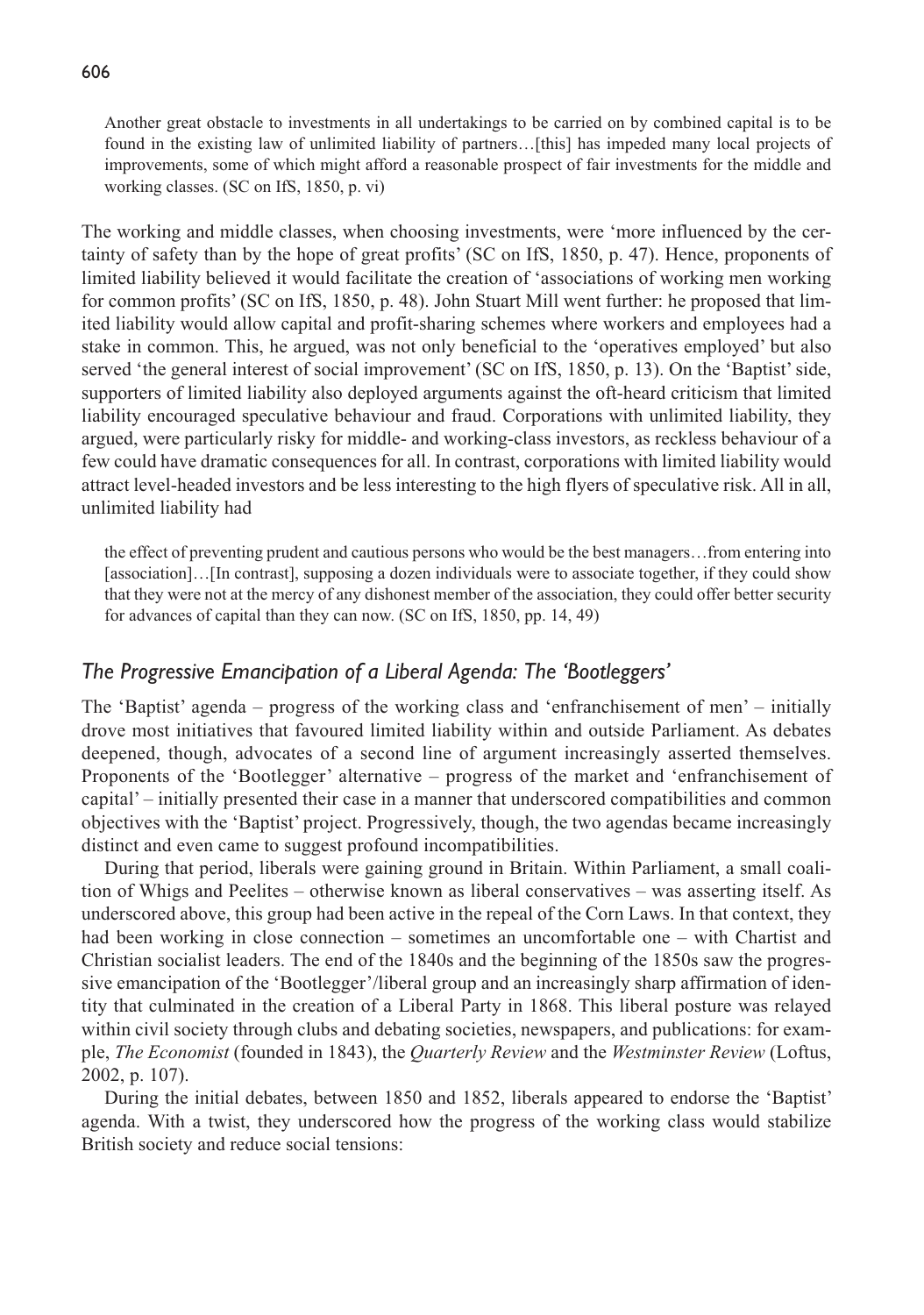Another great obstacle to investments in all undertakings to be carried on by combined capital is to be found in the existing law of unlimited liability of partners…[this] has impeded many local projects of improvements, some of which might afford a reasonable prospect of fair investments for the middle and working classes. (SC on IfS, 1850, p. vi)

The working and middle classes, when choosing investments, were 'more influenced by the certainty of safety than by the hope of great profits' (SC on IfS, 1850, p. 47). Hence, proponents of limited liability believed it would facilitate the creation of 'associations of working men working for common profits' (SC on IfS, 1850, p. 48). John Stuart Mill went further: he proposed that limited liability would allow capital and profit-sharing schemes where workers and employees had a stake in common. This, he argued, was not only beneficial to the 'operatives employed' but also served 'the general interest of social improvement' (SC on IfS, 1850, p. 13). On the 'Baptist' side, supporters of limited liability also deployed arguments against the oft-heard criticism that limited liability encouraged speculative behaviour and fraud. Corporations with unlimited liability, they argued, were particularly risky for middle- and working-class investors, as reckless behaviour of a few could have dramatic consequences for all. In contrast, corporations with limited liability would attract level-headed investors and be less interesting to the high flyers of speculative risk. All in all, unlimited liability had

the effect of preventing prudent and cautious persons who would be the best managers…from entering into [association]...[In contrast], supposing a dozen individuals were to associate together, if they could show that they were not at the mercy of any dishonest member of the association, they could offer better security for advances of capital than they can now. (SC on IfS, 1850, pp. 14, 49)

# *The Progressive Emancipation of a Liberal Agenda: The 'Bootleggers'*

The 'Baptist' agenda – progress of the working class and 'enfranchisement of men' – initially drove most initiatives that favoured limited liability within and outside Parliament. As debates deepened, though, advocates of a second line of argument increasingly asserted themselves. Proponents of the 'Bootlegger' alternative – progress of the market and 'enfranchisement of capital' – initially presented their case in a manner that underscored compatibilities and common objectives with the 'Baptist' project. Progressively, though, the two agendas became increasingly distinct and even came to suggest profound incompatibilities.

During that period, liberals were gaining ground in Britain. Within Parliament, a small coalition of Whigs and Peelites – otherwise known as liberal conservatives – was asserting itself. As underscored above, this group had been active in the repeal of the Corn Laws. In that context, they had been working in close connection – sometimes an uncomfortable one – with Chartist and Christian socialist leaders. The end of the 1840s and the beginning of the 1850s saw the progressive emancipation of the 'Bootlegger'/liberal group and an increasingly sharp affirmation of identity that culminated in the creation of a Liberal Party in 1868. This liberal posture was relayed within civil society through clubs and debating societies, newspapers, and publications: for example, *The Economist* (founded in 1843), the *Quarterly Review* and the *Westminster Review* (Loftus, 2002, p. 107).

During the initial debates, between 1850 and 1852, liberals appeared to endorse the 'Baptist' agenda. With a twist, they underscored how the progress of the working class would stabilize British society and reduce social tensions: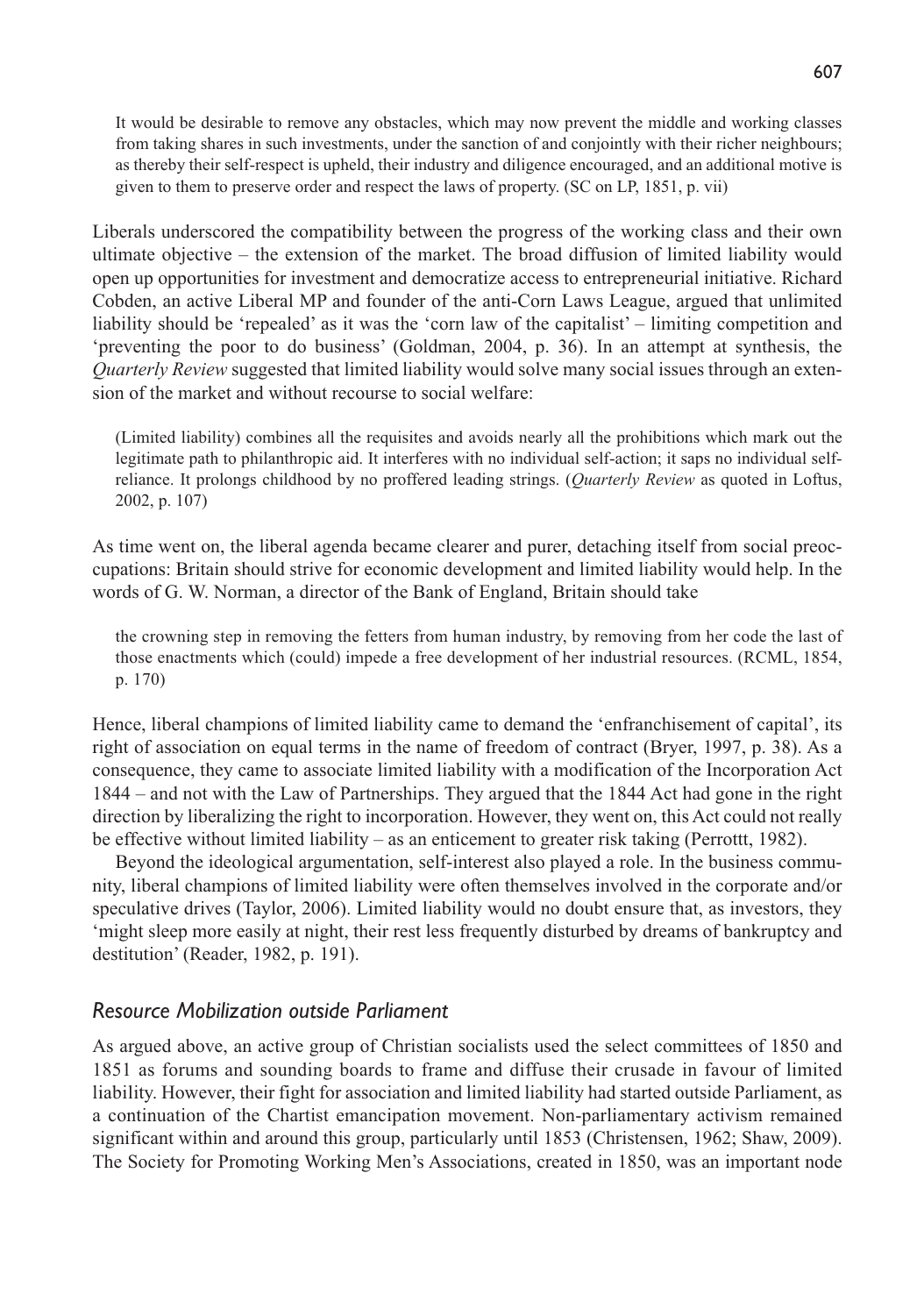It would be desirable to remove any obstacles, which may now prevent the middle and working classes from taking shares in such investments, under the sanction of and conjointly with their richer neighbours; as thereby their self-respect is upheld, their industry and diligence encouraged, and an additional motive is given to them to preserve order and respect the laws of property. (SC on LP, 1851, p. vii)

Liberals underscored the compatibility between the progress of the working class and their own ultimate objective – the extension of the market. The broad diffusion of limited liability would open up opportunities for investment and democratize access to entrepreneurial initiative. Richard Cobden, an active Liberal MP and founder of the anti-Corn Laws League, argued that unlimited liability should be 'repealed' as it was the 'corn law of the capitalist' – limiting competition and 'preventing the poor to do business' (Goldman, 2004, p. 36). In an attempt at synthesis, the *Quarterly Review* suggested that limited liability would solve many social issues through an extension of the market and without recourse to social welfare:

(Limited liability) combines all the requisites and avoids nearly all the prohibitions which mark out the legitimate path to philanthropic aid. It interferes with no individual self-action; it saps no individual selfreliance. It prolongs childhood by no proffered leading strings. (*Quarterly Review* as quoted in Loftus, 2002, p. 107)

As time went on, the liberal agenda became clearer and purer, detaching itself from social preoccupations: Britain should strive for economic development and limited liability would help. In the words of G. W. Norman, a director of the Bank of England, Britain should take

the crowning step in removing the fetters from human industry, by removing from her code the last of those enactments which (could) impede a free development of her industrial resources. (RCML, 1854, p. 170)

Hence, liberal champions of limited liability came to demand the 'enfranchisement of capital', its right of association on equal terms in the name of freedom of contract (Bryer, 1997, p. 38). As a consequence, they came to associate limited liability with a modification of the Incorporation Act 1844 – and not with the Law of Partnerships. They argued that the 1844 Act had gone in the right direction by liberalizing the right to incorporation. However, they went on, this Act could not really be effective without limited liability – as an enticement to greater risk taking (Perrottt, 1982).

Beyond the ideological argumentation, self-interest also played a role. In the business community, liberal champions of limited liability were often themselves involved in the corporate and/or speculative drives (Taylor, 2006). Limited liability would no doubt ensure that, as investors, they 'might sleep more easily at night, their rest less frequently disturbed by dreams of bankruptcy and destitution' (Reader, 1982, p. 191).

### *Resource Mobilization outside Parliament*

As argued above, an active group of Christian socialists used the select committees of 1850 and 1851 as forums and sounding boards to frame and diffuse their crusade in favour of limited liability. However, their fight for association and limited liability had started outside Parliament, as a continuation of the Chartist emancipation movement. Non-parliamentary activism remained significant within and around this group, particularly until 1853 (Christensen, 1962; Shaw, 2009). The Society for Promoting Working Men's Associations, created in 1850, was an important node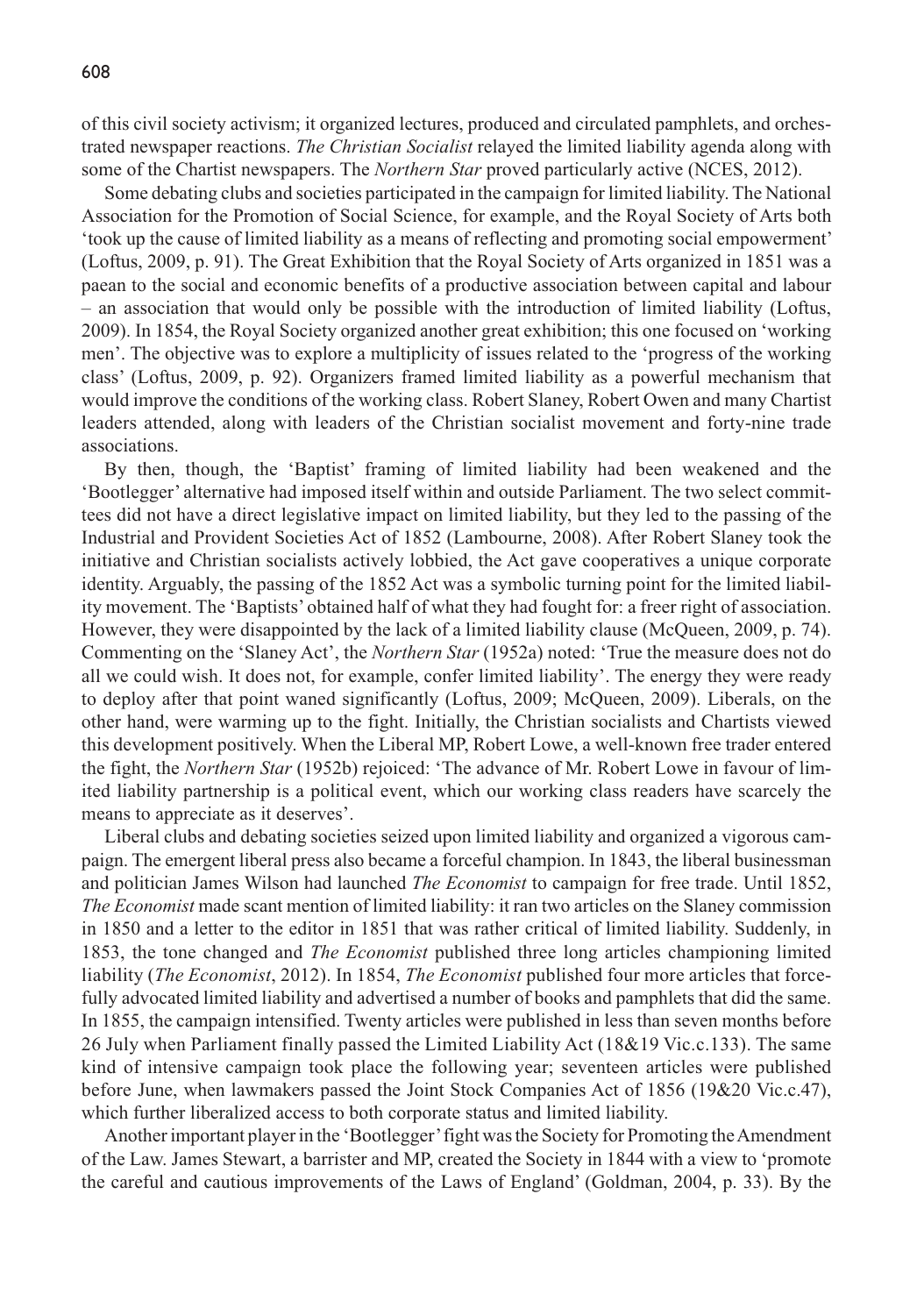of this civil society activism; it organized lectures, produced and circulated pamphlets, and orchestrated newspaper reactions. *The Christian Socialist* relayed the limited liability agenda along with some of the Chartist newspapers. The *Northern Star* proved particularly active (NCES, 2012).

Some debating clubs and societies participated in the campaign for limited liability. The National Association for the Promotion of Social Science, for example, and the Royal Society of Arts both 'took up the cause of limited liability as a means of reflecting and promoting social empowerment' (Loftus, 2009, p. 91). The Great Exhibition that the Royal Society of Arts organized in 1851 was a paean to the social and economic benefits of a productive association between capital and labour – an association that would only be possible with the introduction of limited liability (Loftus, 2009). In 1854, the Royal Society organized another great exhibition; this one focused on 'working men'. The objective was to explore a multiplicity of issues related to the 'progress of the working class' (Loftus, 2009, p. 92). Organizers framed limited liability as a powerful mechanism that would improve the conditions of the working class. Robert Slaney, Robert Owen and many Chartist leaders attended, along with leaders of the Christian socialist movement and forty-nine trade associations.

By then, though, the 'Baptist' framing of limited liability had been weakened and the 'Bootlegger' alternative had imposed itself within and outside Parliament. The two select committees did not have a direct legislative impact on limited liability, but they led to the passing of the Industrial and Provident Societies Act of 1852 (Lambourne, 2008). After Robert Slaney took the initiative and Christian socialists actively lobbied, the Act gave cooperatives a unique corporate identity. Arguably, the passing of the 1852 Act was a symbolic turning point for the limited liability movement. The 'Baptists' obtained half of what they had fought for: a freer right of association. However, they were disappointed by the lack of a limited liability clause (McQueen, 2009, p. 74). Commenting on the 'Slaney Act', the *Northern Star* (1952a) noted: 'True the measure does not do all we could wish. It does not, for example, confer limited liability'. The energy they were ready to deploy after that point waned significantly (Loftus, 2009; McQueen, 2009). Liberals, on the other hand, were warming up to the fight. Initially, the Christian socialists and Chartists viewed this development positively. When the Liberal MP, Robert Lowe, a well-known free trader entered the fight, the *Northern Star* (1952b) rejoiced: 'The advance of Mr. Robert Lowe in favour of limited liability partnership is a political event, which our working class readers have scarcely the means to appreciate as it deserves'.

Liberal clubs and debating societies seized upon limited liability and organized a vigorous campaign. The emergent liberal press also became a forceful champion. In 1843, the liberal businessman and politician James Wilson had launched *The Economist* to campaign for free trade. Until 1852, *The Economist* made scant mention of limited liability: it ran two articles on the Slaney commission in 1850 and a letter to the editor in 1851 that was rather critical of limited liability. Suddenly, in 1853, the tone changed and *The Economist* published three long articles championing limited liability (*The Economist*, 2012). In 1854, *The Economist* published four more articles that forcefully advocated limited liability and advertised a number of books and pamphlets that did the same. In 1855, the campaign intensified. Twenty articles were published in less than seven months before 26 July when Parliament finally passed the Limited Liability Act (18&19 Vic.c.133). The same kind of intensive campaign took place the following year; seventeen articles were published before June, when lawmakers passed the Joint Stock Companies Act of 1856 (19&20 Vic.c.47), which further liberalized access to both corporate status and limited liability.

Another important player in the 'Bootlegger' fight was the Society for Promoting the Amendment of the Law. James Stewart, a barrister and MP, created the Society in 1844 with a view to 'promote the careful and cautious improvements of the Laws of England' (Goldman, 2004, p. 33). By the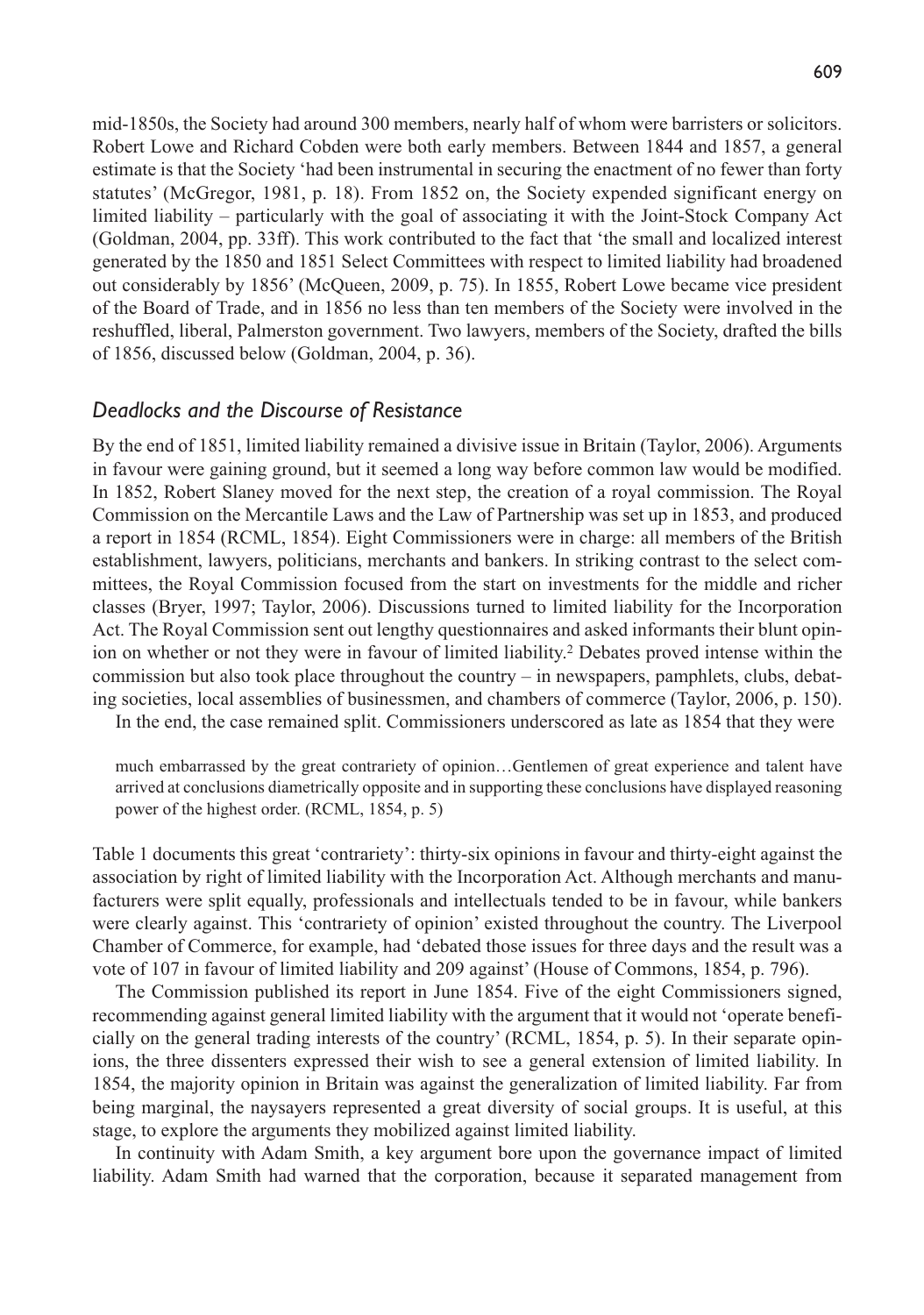mid-1850s, the Society had around 300 members, nearly half of whom were barristers or solicitors. Robert Lowe and Richard Cobden were both early members. Between 1844 and 1857, a general estimate is that the Society 'had been instrumental in securing the enactment of no fewer than forty statutes' (McGregor, 1981, p. 18). From 1852 on, the Society expended significant energy on limited liability – particularly with the goal of associating it with the Joint-Stock Company Act (Goldman, 2004, pp. 33ff). This work contributed to the fact that 'the small and localized interest generated by the 1850 and 1851 Select Committees with respect to limited liability had broadened out considerably by 1856' (McQueen, 2009, p. 75). In 1855, Robert Lowe became vice president of the Board of Trade, and in 1856 no less than ten members of the Society were involved in the reshuffled, liberal, Palmerston government. Two lawyers, members of the Society, drafted the bills of 1856, discussed below (Goldman, 2004, p. 36).

# *Deadlocks and the Discourse of Resistance*

By the end of 1851, limited liability remained a divisive issue in Britain (Taylor, 2006). Arguments in favour were gaining ground, but it seemed a long way before common law would be modified. In 1852, Robert Slaney moved for the next step, the creation of a royal commission. The Royal Commission on the Mercantile Laws and the Law of Partnership was set up in 1853, and produced a report in 1854 (RCML, 1854). Eight Commissioners were in charge: all members of the British establishment, lawyers, politicians, merchants and bankers. In striking contrast to the select committees, the Royal Commission focused from the start on investments for the middle and richer classes (Bryer, 1997; Taylor, 2006). Discussions turned to limited liability for the Incorporation Act. The Royal Commission sent out lengthy questionnaires and asked informants their blunt opinion on whether or not they were in favour of limited liability.<sup>2</sup> Debates proved intense within the commission but also took place throughout the country – in newspapers, pamphlets, clubs, debating societies, local assemblies of businessmen, and chambers of commerce (Taylor, 2006, p. 150).

In the end, the case remained split. Commissioners underscored as late as 1854 that they were

much embarrassed by the great contrariety of opinion…Gentlemen of great experience and talent have arrived at conclusions diametrically opposite and in supporting these conclusions have displayed reasoning power of the highest order. (RCML, 1854, p. 5)

Table 1 documents this great 'contrariety': thirty-six opinions in favour and thirty-eight against the association by right of limited liability with the Incorporation Act. Although merchants and manufacturers were split equally, professionals and intellectuals tended to be in favour, while bankers were clearly against. This 'contrariety of opinion' existed throughout the country. The Liverpool Chamber of Commerce, for example, had 'debated those issues for three days and the result was a vote of 107 in favour of limited liability and 209 against' (House of Commons, 1854, p. 796).

The Commission published its report in June 1854. Five of the eight Commissioners signed, recommending against general limited liability with the argument that it would not 'operate beneficially on the general trading interests of the country' (RCML, 1854, p. 5). In their separate opinions, the three dissenters expressed their wish to see a general extension of limited liability. In 1854, the majority opinion in Britain was against the generalization of limited liability. Far from being marginal, the naysayers represented a great diversity of social groups. It is useful, at this stage, to explore the arguments they mobilized against limited liability.

In continuity with Adam Smith, a key argument bore upon the governance impact of limited liability. Adam Smith had warned that the corporation, because it separated management from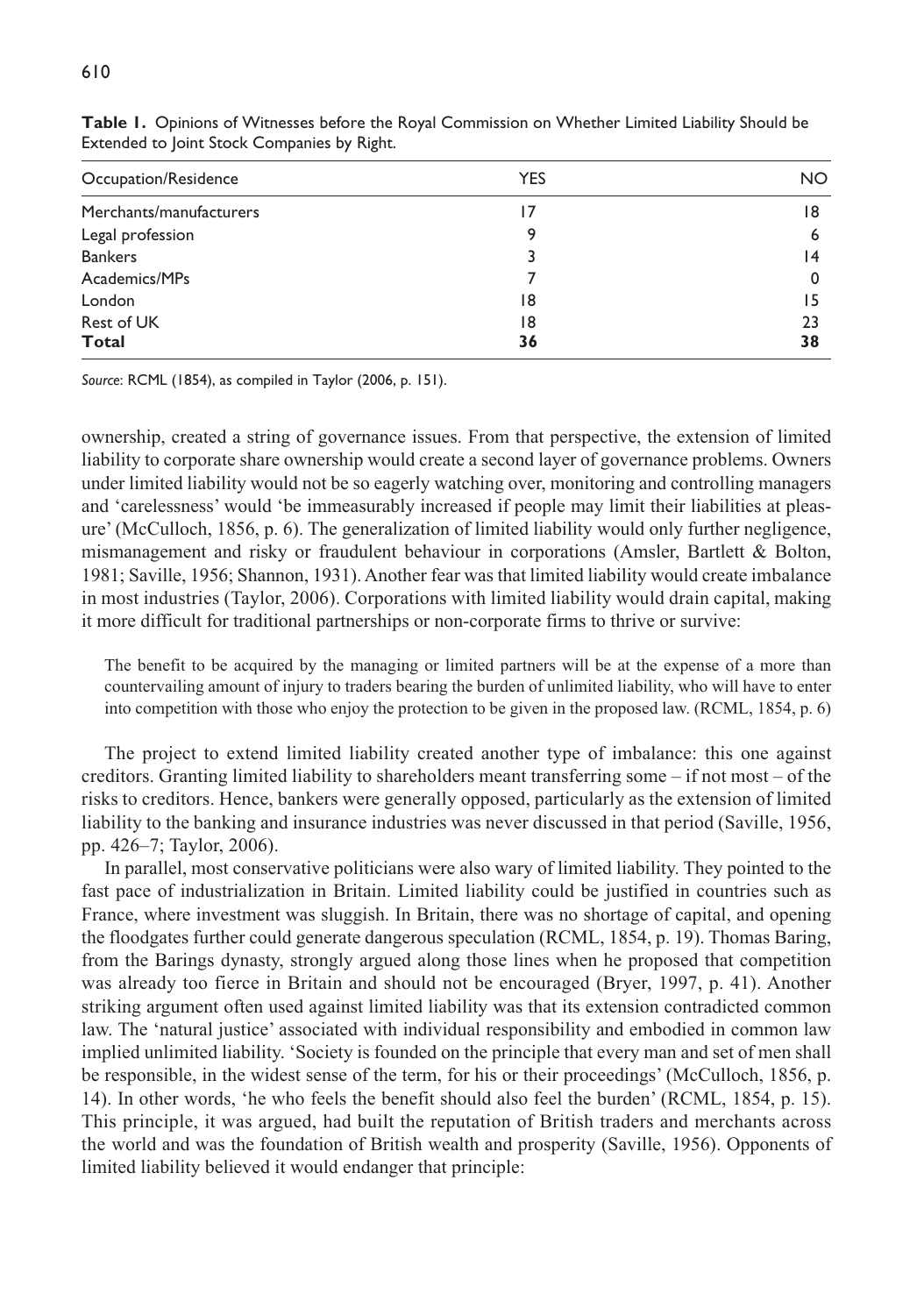| Occupation/Residence    | <b>YES</b> | NO. |
|-------------------------|------------|-----|
| Merchants/manufacturers | 17         | 18  |
| Legal profession        | 9          | 6   |
| <b>Bankers</b>          |            | 14  |
| Academics/MPs           |            |     |
| London                  | 18         |     |
| Rest of UK              | 18         | 23  |
| <b>Total</b>            | 36         | 38  |
|                         |            |     |

**Table 1.** Opinions of Witnesses before the Royal Commission on Whether Limited Liability Should be Extended to Joint Stock Companies by Right.

*Source*: RCML (1854), as compiled in Taylor (2006, p. 151).

ownership, created a string of governance issues. From that perspective, the extension of limited liability to corporate share ownership would create a second layer of governance problems. Owners under limited liability would not be so eagerly watching over, monitoring and controlling managers and 'carelessness' would 'be immeasurably increased if people may limit their liabilities at pleasure' (McCulloch, 1856, p. 6). The generalization of limited liability would only further negligence, mismanagement and risky or fraudulent behaviour in corporations (Amsler, Bartlett & Bolton, 1981; Saville, 1956; Shannon, 1931). Another fear was that limited liability would create imbalance in most industries (Taylor, 2006). Corporations with limited liability would drain capital, making it more difficult for traditional partnerships or non-corporate firms to thrive or survive:

The benefit to be acquired by the managing or limited partners will be at the expense of a more than countervailing amount of injury to traders bearing the burden of unlimited liability, who will have to enter into competition with those who enjoy the protection to be given in the proposed law. (RCML, 1854, p. 6)

The project to extend limited liability created another type of imbalance: this one against creditors. Granting limited liability to shareholders meant transferring some – if not most – of the risks to creditors. Hence, bankers were generally opposed, particularly as the extension of limited liability to the banking and insurance industries was never discussed in that period (Saville, 1956, pp. 426–7; Taylor, 2006).

In parallel, most conservative politicians were also wary of limited liability. They pointed to the fast pace of industrialization in Britain. Limited liability could be justified in countries such as France, where investment was sluggish. In Britain, there was no shortage of capital, and opening the floodgates further could generate dangerous speculation (RCML, 1854, p. 19). Thomas Baring, from the Barings dynasty, strongly argued along those lines when he proposed that competition was already too fierce in Britain and should not be encouraged (Bryer, 1997, p. 41). Another striking argument often used against limited liability was that its extension contradicted common law. The 'natural justice' associated with individual responsibility and embodied in common law implied unlimited liability. 'Society is founded on the principle that every man and set of men shall be responsible, in the widest sense of the term, for his or their proceedings' (McCulloch, 1856, p. 14). In other words, 'he who feels the benefit should also feel the burden' (RCML, 1854, p. 15). This principle, it was argued, had built the reputation of British traders and merchants across the world and was the foundation of British wealth and prosperity (Saville, 1956). Opponents of limited liability believed it would endanger that principle: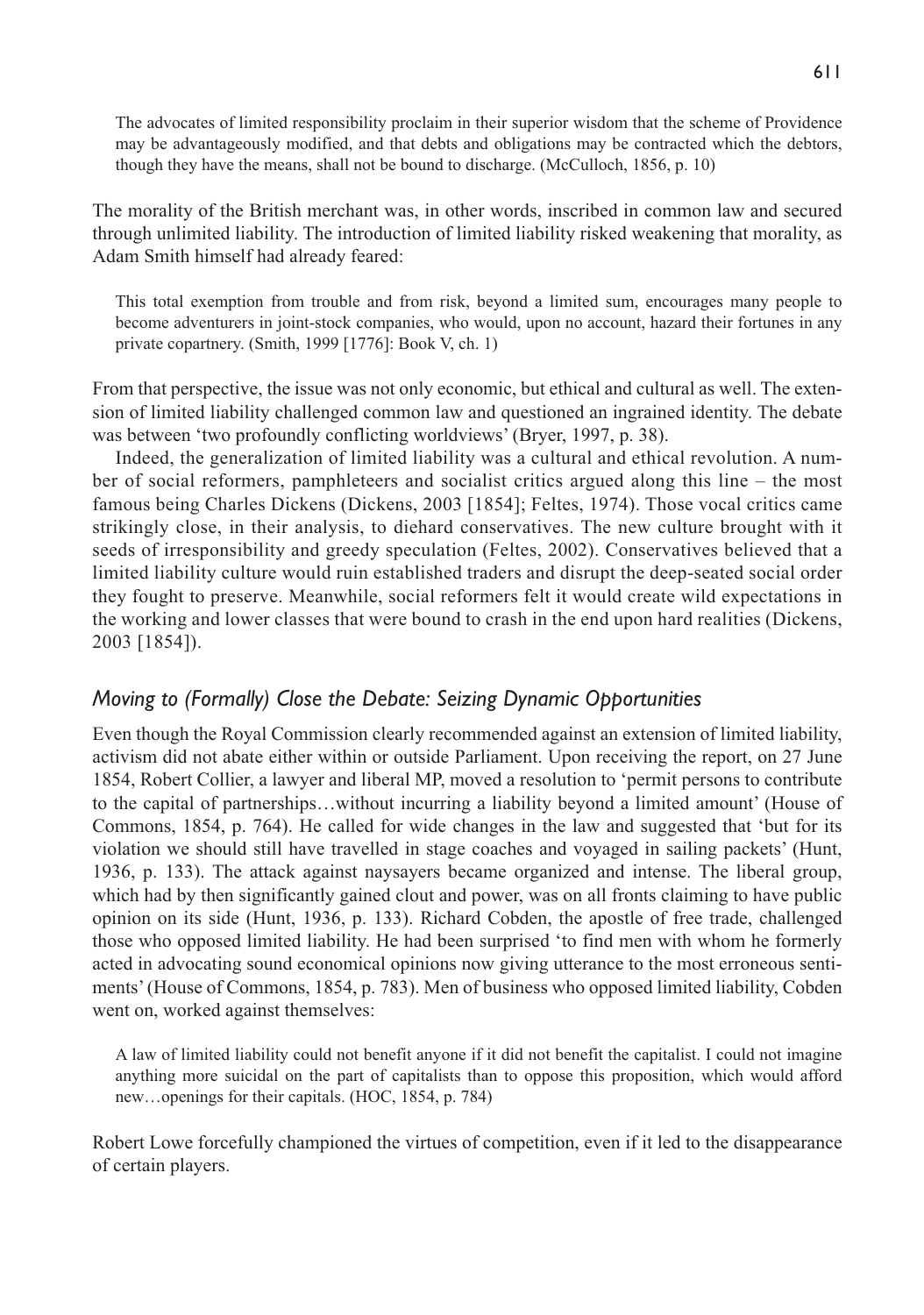The advocates of limited responsibility proclaim in their superior wisdom that the scheme of Providence may be advantageously modified, and that debts and obligations may be contracted which the debtors, though they have the means, shall not be bound to discharge. (McCulloch, 1856, p. 10)

The morality of the British merchant was, in other words, inscribed in common law and secured through unlimited liability. The introduction of limited liability risked weakening that morality, as Adam Smith himself had already feared:

This total exemption from trouble and from risk, beyond a limited sum, encourages many people to become adventurers in joint-stock companies, who would, upon no account, hazard their fortunes in any private copartnery. (Smith, 1999 [1776]: Book V, ch. 1)

From that perspective, the issue was not only economic, but ethical and cultural as well. The extension of limited liability challenged common law and questioned an ingrained identity. The debate was between 'two profoundly conflicting worldviews' (Bryer, 1997, p. 38).

Indeed, the generalization of limited liability was a cultural and ethical revolution. A number of social reformers, pamphleteers and socialist critics argued along this line – the most famous being Charles Dickens (Dickens, 2003 [1854]; Feltes, 1974). Those vocal critics came strikingly close, in their analysis, to diehard conservatives. The new culture brought with it seeds of irresponsibility and greedy speculation (Feltes, 2002). Conservatives believed that a limited liability culture would ruin established traders and disrupt the deep-seated social order they fought to preserve. Meanwhile, social reformers felt it would create wild expectations in the working and lower classes that were bound to crash in the end upon hard realities (Dickens, 2003 [1854]).

# *Moving to (Formally) Close the Debate: Seizing Dynamic Opportunities*

Even though the Royal Commission clearly recommended against an extension of limited liability, activism did not abate either within or outside Parliament. Upon receiving the report, on 27 June 1854, Robert Collier, a lawyer and liberal MP, moved a resolution to 'permit persons to contribute to the capital of partnerships…without incurring a liability beyond a limited amount' (House of Commons, 1854, p. 764). He called for wide changes in the law and suggested that 'but for its violation we should still have travelled in stage coaches and voyaged in sailing packets' (Hunt, 1936, p. 133). The attack against naysayers became organized and intense. The liberal group, which had by then significantly gained clout and power, was on all fronts claiming to have public opinion on its side (Hunt, 1936, p. 133). Richard Cobden, the apostle of free trade, challenged those who opposed limited liability. He had been surprised 'to find men with whom he formerly acted in advocating sound economical opinions now giving utterance to the most erroneous sentiments' (House of Commons, 1854, p. 783). Men of business who opposed limited liability, Cobden went on, worked against themselves:

A law of limited liability could not benefit anyone if it did not benefit the capitalist. I could not imagine anything more suicidal on the part of capitalists than to oppose this proposition, which would afford new…openings for their capitals. (HOC, 1854, p. 784)

Robert Lowe forcefully championed the virtues of competition, even if it led to the disappearance of certain players.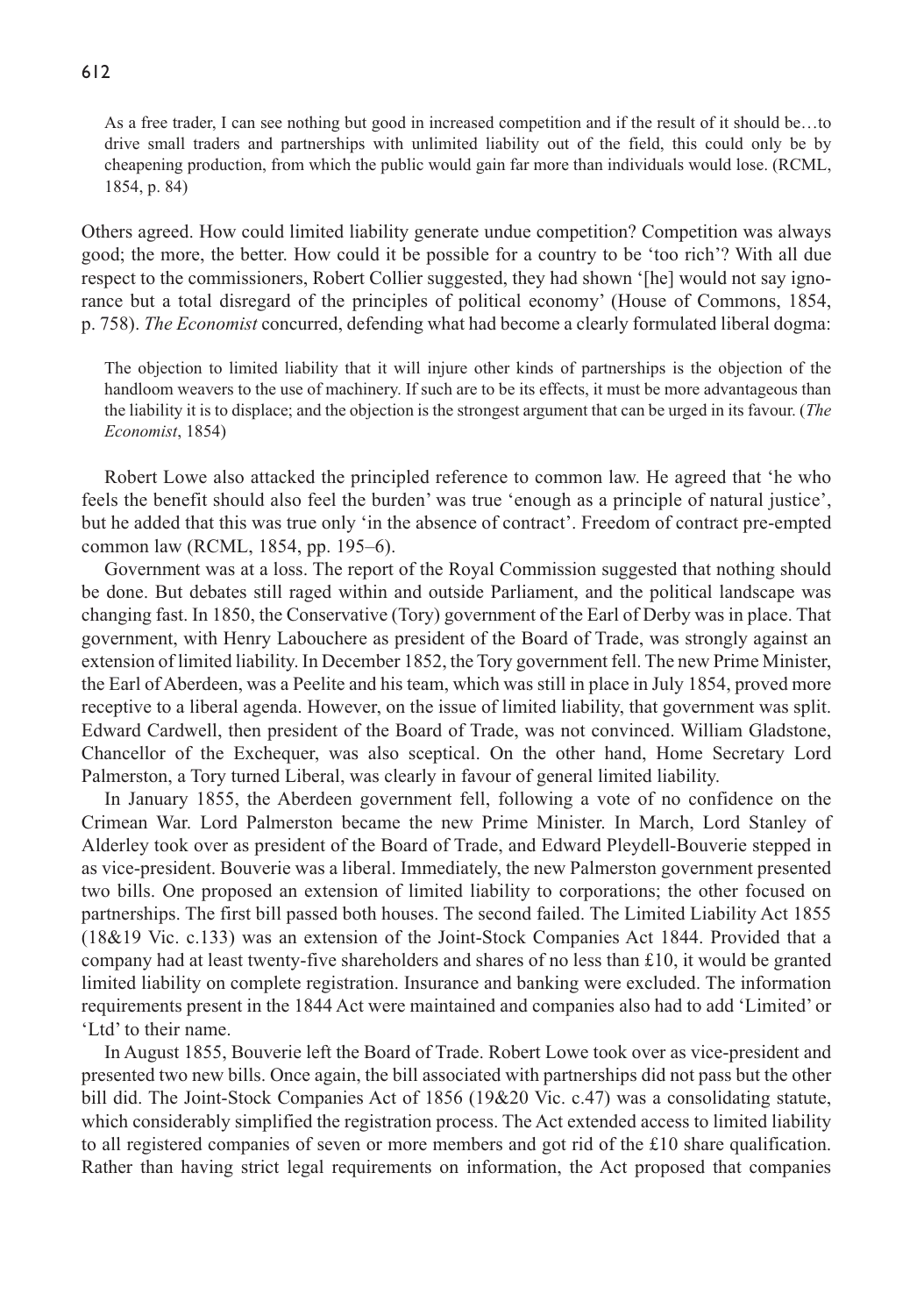As a free trader, I can see nothing but good in increased competition and if the result of it should be…to drive small traders and partnerships with unlimited liability out of the field, this could only be by cheapening production, from which the public would gain far more than individuals would lose. (RCML, 1854, p. 84)

Others agreed. How could limited liability generate undue competition? Competition was always good; the more, the better. How could it be possible for a country to be 'too rich'? With all due respect to the commissioners, Robert Collier suggested, they had shown '[he] would not say ignorance but a total disregard of the principles of political economy' (House of Commons, 1854, p. 758). *The Economist* concurred, defending what had become a clearly formulated liberal dogma:

The objection to limited liability that it will injure other kinds of partnerships is the objection of the handloom weavers to the use of machinery. If such are to be its effects, it must be more advantageous than the liability it is to displace; and the objection is the strongest argument that can be urged in its favour. (*The Economist*, 1854)

Robert Lowe also attacked the principled reference to common law. He agreed that 'he who feels the benefit should also feel the burden' was true 'enough as a principle of natural justice', but he added that this was true only 'in the absence of contract'. Freedom of contract pre-empted common law (RCML, 1854, pp. 195–6).

Government was at a loss. The report of the Royal Commission suggested that nothing should be done. But debates still raged within and outside Parliament, and the political landscape was changing fast. In 1850, the Conservative (Tory) government of the Earl of Derby was in place. That government, with Henry Labouchere as president of the Board of Trade, was strongly against an extension of limited liability. In December 1852, the Tory government fell. The new Prime Minister, the Earl of Aberdeen, was a Peelite and his team, which was still in place in July 1854, proved more receptive to a liberal agenda. However, on the issue of limited liability, that government was split. Edward Cardwell, then president of the Board of Trade, was not convinced. William Gladstone, Chancellor of the Exchequer, was also sceptical. On the other hand, Home Secretary Lord Palmerston, a Tory turned Liberal, was clearly in favour of general limited liability.

In January 1855, the Aberdeen government fell, following a vote of no confidence on the Crimean War. Lord Palmerston became the new Prime Minister. In March, Lord Stanley of Alderley took over as president of the Board of Trade, and Edward Pleydell-Bouverie stepped in as vice-president. Bouverie was a liberal. Immediately, the new Palmerston government presented two bills. One proposed an extension of limited liability to corporations; the other focused on partnerships. The first bill passed both houses. The second failed. The Limited Liability Act 1855 (18&19 Vic. c.133) was an extension of the Joint-Stock Companies Act 1844. Provided that a company had at least twenty-five shareholders and shares of no less than £10, it would be granted limited liability on complete registration. Insurance and banking were excluded. The information requirements present in the 1844 Act were maintained and companies also had to add 'Limited' or 'Ltd' to their name.

In August 1855, Bouverie left the Board of Trade. Robert Lowe took over as vice-president and presented two new bills. Once again, the bill associated with partnerships did not pass but the other bill did. The Joint-Stock Companies Act of 1856 (19&20 Vic. c.47) was a consolidating statute, which considerably simplified the registration process. The Act extended access to limited liability to all registered companies of seven or more members and got rid of the £10 share qualification. Rather than having strict legal requirements on information, the Act proposed that companies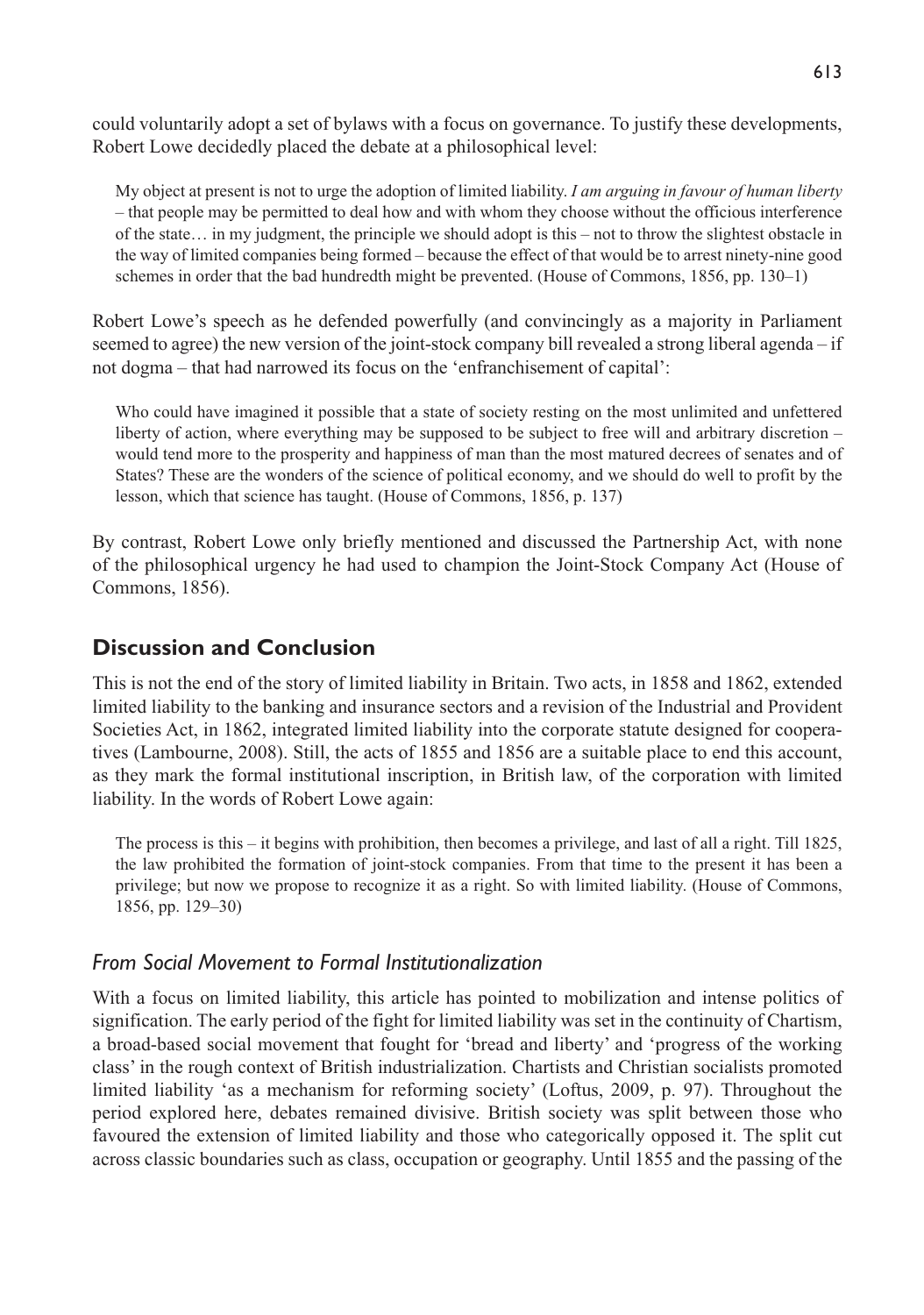could voluntarily adopt a set of bylaws with a focus on governance. To justify these developments, Robert Lowe decidedly placed the debate at a philosophical level:

My object at present is not to urge the adoption of limited liability. *I am arguing in favour of human liberty* – that people may be permitted to deal how and with whom they choose without the officious interference of the state… in my judgment, the principle we should adopt is this – not to throw the slightest obstacle in the way of limited companies being formed – because the effect of that would be to arrest ninety-nine good schemes in order that the bad hundredth might be prevented. (House of Commons, 1856, pp. 130–1)

Robert Lowe's speech as he defended powerfully (and convincingly as a majority in Parliament seemed to agree) the new version of the joint-stock company bill revealed a strong liberal agenda – if not dogma – that had narrowed its focus on the 'enfranchisement of capital':

Who could have imagined it possible that a state of society resting on the most unlimited and unfettered liberty of action, where everything may be supposed to be subject to free will and arbitrary discretion – would tend more to the prosperity and happiness of man than the most matured decrees of senates and of States? These are the wonders of the science of political economy, and we should do well to profit by the lesson, which that science has taught. (House of Commons, 1856, p. 137)

By contrast, Robert Lowe only briefly mentioned and discussed the Partnership Act, with none of the philosophical urgency he had used to champion the Joint-Stock Company Act (House of Commons, 1856).

# **Discussion and Conclusion**

This is not the end of the story of limited liability in Britain. Two acts, in 1858 and 1862, extended limited liability to the banking and insurance sectors and a revision of the Industrial and Provident Societies Act, in 1862, integrated limited liability into the corporate statute designed for cooperatives (Lambourne, 2008). Still, the acts of 1855 and 1856 are a suitable place to end this account, as they mark the formal institutional inscription, in British law, of the corporation with limited liability. In the words of Robert Lowe again:

The process is this – it begins with prohibition, then becomes a privilege, and last of all a right. Till 1825, the law prohibited the formation of joint-stock companies. From that time to the present it has been a privilege; but now we propose to recognize it as a right. So with limited liability. (House of Commons, 1856, pp. 129–30)

# *From Social Movement to Formal Institutionalization*

With a focus on limited liability, this article has pointed to mobilization and intense politics of signification. The early period of the fight for limited liability was set in the continuity of Chartism, a broad-based social movement that fought for 'bread and liberty' and 'progress of the working class' in the rough context of British industrialization. Chartists and Christian socialists promoted limited liability 'as a mechanism for reforming society' (Loftus, 2009, p. 97). Throughout the period explored here, debates remained divisive. British society was split between those who favoured the extension of limited liability and those who categorically opposed it. The split cut across classic boundaries such as class, occupation or geography. Until 1855 and the passing of the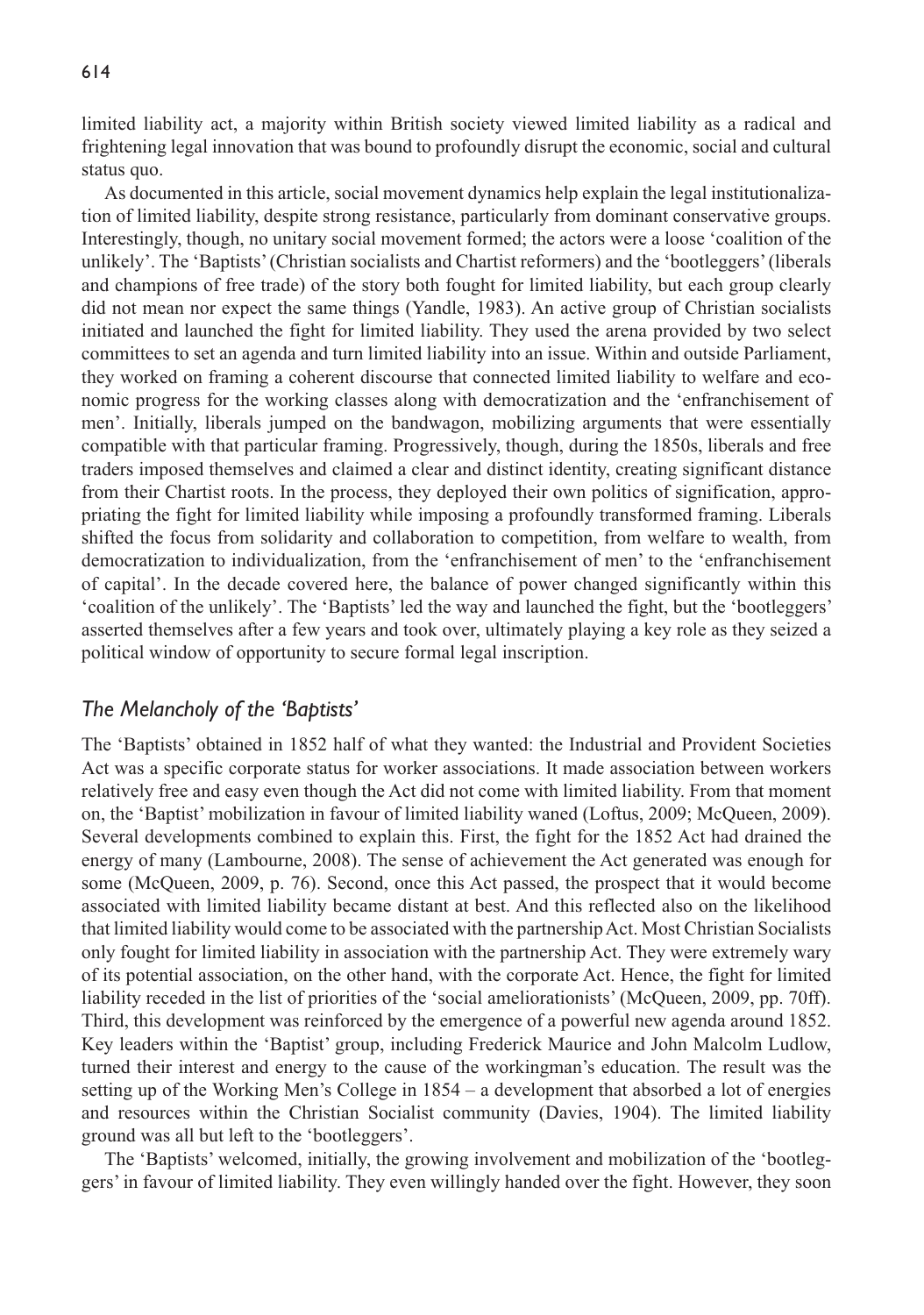limited liability act, a majority within British society viewed limited liability as a radical and frightening legal innovation that was bound to profoundly disrupt the economic, social and cultural status quo.

As documented in this article, social movement dynamics help explain the legal institutionalization of limited liability, despite strong resistance, particularly from dominant conservative groups. Interestingly, though, no unitary social movement formed; the actors were a loose 'coalition of the unlikely'. The 'Baptists' (Christian socialists and Chartist reformers) and the 'bootleggers' (liberals and champions of free trade) of the story both fought for limited liability, but each group clearly did not mean nor expect the same things (Yandle, 1983). An active group of Christian socialists initiated and launched the fight for limited liability. They used the arena provided by two select committees to set an agenda and turn limited liability into an issue. Within and outside Parliament, they worked on framing a coherent discourse that connected limited liability to welfare and economic progress for the working classes along with democratization and the 'enfranchisement of men'. Initially, liberals jumped on the bandwagon, mobilizing arguments that were essentially compatible with that particular framing. Progressively, though, during the 1850s, liberals and free traders imposed themselves and claimed a clear and distinct identity, creating significant distance from their Chartist roots. In the process, they deployed their own politics of signification, appropriating the fight for limited liability while imposing a profoundly transformed framing. Liberals shifted the focus from solidarity and collaboration to competition, from welfare to wealth, from democratization to individualization, from the 'enfranchisement of men' to the 'enfranchisement of capital'. In the decade covered here, the balance of power changed significantly within this 'coalition of the unlikely'. The 'Baptists' led the way and launched the fight, but the 'bootleggers' asserted themselves after a few years and took over, ultimately playing a key role as they seized a political window of opportunity to secure formal legal inscription.

### *The Melancholy of the 'Baptists'*

The 'Baptists' obtained in 1852 half of what they wanted: the Industrial and Provident Societies Act was a specific corporate status for worker associations. It made association between workers relatively free and easy even though the Act did not come with limited liability. From that moment on, the 'Baptist' mobilization in favour of limited liability waned (Loftus, 2009; McQueen, 2009). Several developments combined to explain this. First, the fight for the 1852 Act had drained the energy of many (Lambourne, 2008). The sense of achievement the Act generated was enough for some (McQueen, 2009, p. 76). Second, once this Act passed, the prospect that it would become associated with limited liability became distant at best. And this reflected also on the likelihood that limited liability would come to be associated with the partnership Act. Most Christian Socialists only fought for limited liability in association with the partnership Act. They were extremely wary of its potential association, on the other hand, with the corporate Act. Hence, the fight for limited liability receded in the list of priorities of the 'social ameliorationists' (McQueen, 2009, pp. 70ff). Third, this development was reinforced by the emergence of a powerful new agenda around 1852. Key leaders within the 'Baptist' group, including Frederick Maurice and John Malcolm Ludlow, turned their interest and energy to the cause of the workingman's education. The result was the setting up of the Working Men's College in 1854 – a development that absorbed a lot of energies and resources within the Christian Socialist community (Davies, 1904). The limited liability ground was all but left to the 'bootleggers'.

The 'Baptists' welcomed, initially, the growing involvement and mobilization of the 'bootleggers' in favour of limited liability. They even willingly handed over the fight. However, they soon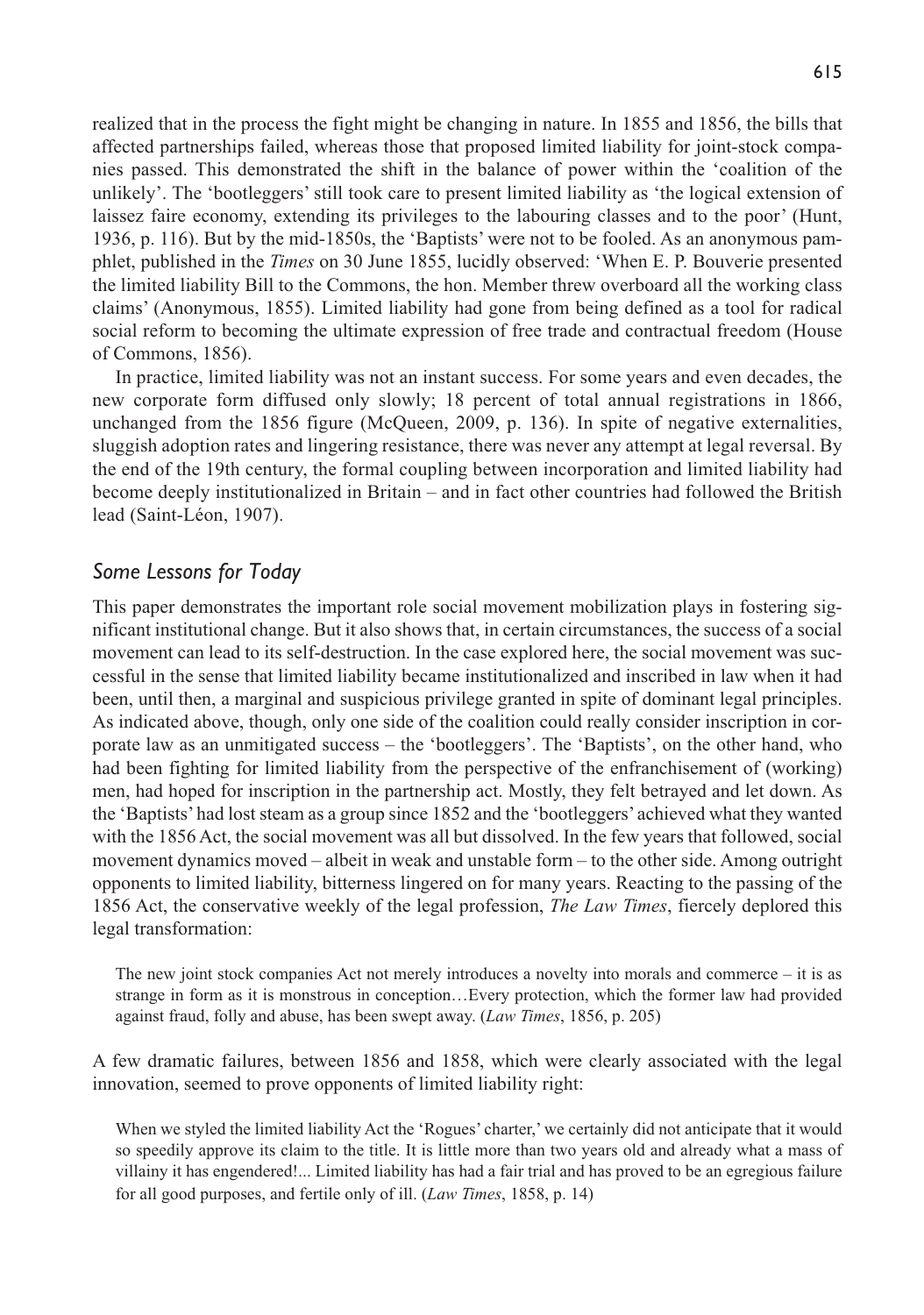realized that in the process the fight might be changing in nature. In 1855 and 1856, the bills that affected partnerships failed, whereas those that proposed limited liability for joint-stock companies passed. This demonstrated the shift in the balance of power within the 'coalition of the unlikely'. The 'bootleggers' still took care to present limited liability as 'the logical extension of laissez faire economy, extending its privileges to the labouring classes and to the poor' (Hunt, 1936, p. 116). But by the mid-1850s, the 'Baptists' were not to be fooled. As an anonymous pamphlet, published in the *Times* on 30 June 1855, lucidly observed: 'When E. P. Bouverie presented the limited liability Bill to the Commons, the hon. Member threw overboard all the working class claims' (Anonymous, 1855). Limited liability had gone from being defined as a tool for radical social reform to becoming the ultimate expression of free trade and contractual freedom (House of Commons, 1856).

In practice, limited liability was not an instant success. For some years and even decades, the new corporate form diffused only slowly; 18 percent of total annual registrations in 1866, unchanged from the 1856 figure (McQueen, 2009, p. 136). In spite of negative externalities, sluggish adoption rates and lingering resistance, there was never any attempt at legal reversal. By the end of the 19th century, the formal coupling between incorporation and limited liability had become deeply institutionalized in Britain – and in fact other countries had followed the British lead (Saint-Léon, 1907).

### *Some Lessons for Today*

This paper demonstrates the important role social movement mobilization plays in fostering significant institutional change. But it also shows that, in certain circumstances, the success of a social movement can lead to its self-destruction. In the case explored here, the social movement was successful in the sense that limited liability became institutionalized and inscribed in law when it had been, until then, a marginal and suspicious privilege granted in spite of dominant legal principles. As indicated above, though, only one side of the coalition could really consider inscription in corporate law as an unmitigated success – the 'bootleggers'. The 'Baptists', on the other hand, who had been fighting for limited liability from the perspective of the enfranchisement of (working) men, had hoped for inscription in the partnership act. Mostly, they felt betrayed and let down. As the 'Baptists' had lost steam as a group since 1852 and the 'bootleggers' achieved what they wanted with the 1856 Act, the social movement was all but dissolved. In the few years that followed, social movement dynamics moved – albeit in weak and unstable form – to the other side. Among outright opponents to limited liability, bitterness lingered on for many years. Reacting to the passing of the 1856 Act, the conservative weekly of the legal profession, *The Law Times*, fiercely deplored this legal transformation:

The new joint stock companies Act not merely introduces a novelty into morals and commerce – it is as strange in form as it is monstrous in conception…Every protection, which the former law had provided against fraud, folly and abuse, has been swept away. (*Law Times*, 1856, p. 205)

A few dramatic failures, between 1856 and 1858, which were clearly associated with the legal innovation, seemed to prove opponents of limited liability right:

When we styled the limited liability Act the 'Rogues' charter,' we certainly did not anticipate that it would so speedily approve its claim to the title. It is little more than two years old and already what a mass of villainy it has engendered!... Limited liability has had a fair trial and has proved to be an egregious failure for all good purposes, and fertile only of ill. (*Law Times*, 1858, p. 14)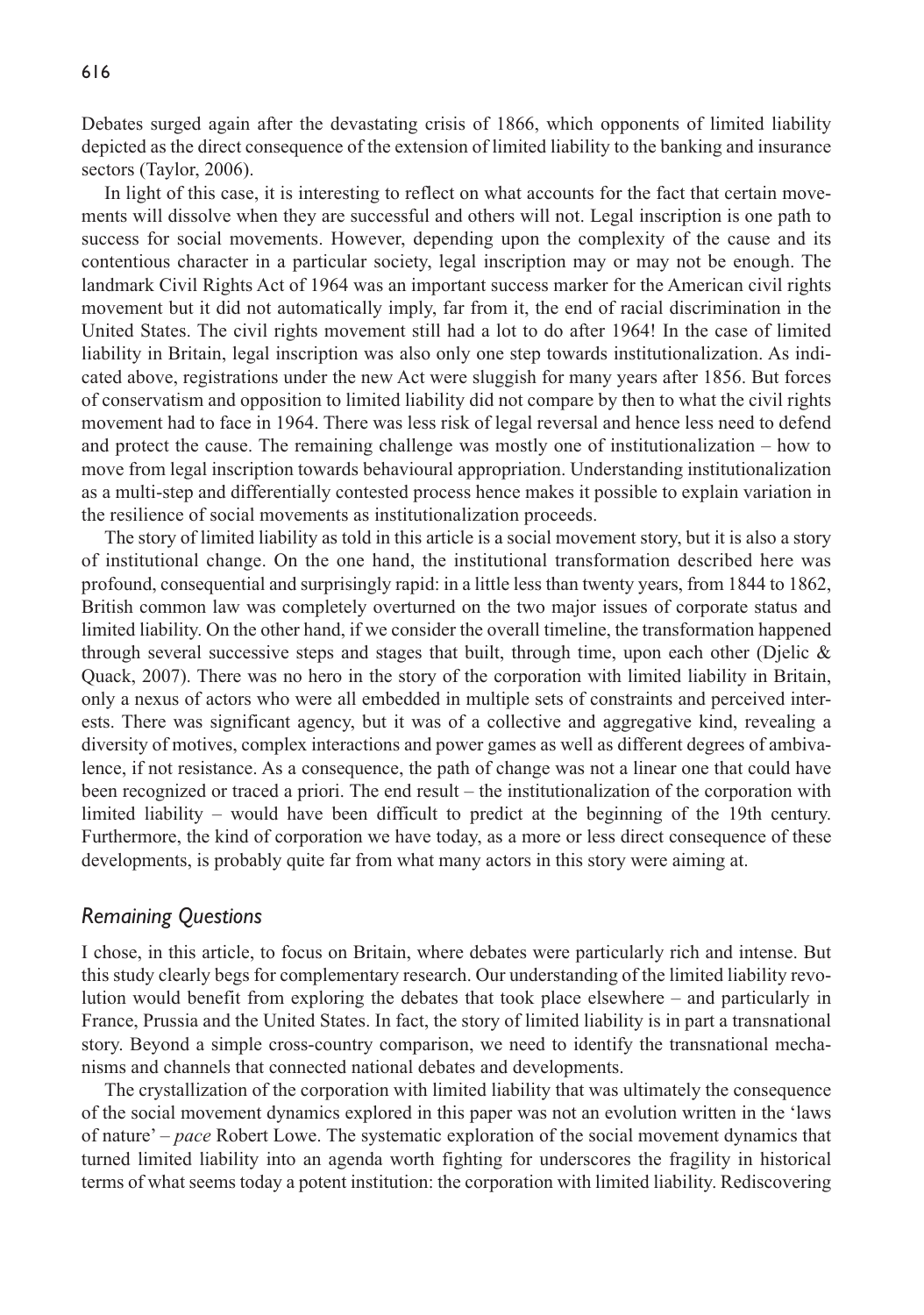Debates surged again after the devastating crisis of 1866, which opponents of limited liability depicted as the direct consequence of the extension of limited liability to the banking and insurance sectors (Taylor, 2006).

In light of this case, it is interesting to reflect on what accounts for the fact that certain movements will dissolve when they are successful and others will not. Legal inscription is one path to success for social movements. However, depending upon the complexity of the cause and its contentious character in a particular society, legal inscription may or may not be enough. The landmark Civil Rights Act of 1964 was an important success marker for the American civil rights movement but it did not automatically imply, far from it, the end of racial discrimination in the United States. The civil rights movement still had a lot to do after 1964! In the case of limited liability in Britain, legal inscription was also only one step towards institutionalization. As indicated above, registrations under the new Act were sluggish for many years after 1856. But forces of conservatism and opposition to limited liability did not compare by then to what the civil rights movement had to face in 1964. There was less risk of legal reversal and hence less need to defend and protect the cause. The remaining challenge was mostly one of institutionalization – how to move from legal inscription towards behavioural appropriation. Understanding institutionalization as a multi-step and differentially contested process hence makes it possible to explain variation in the resilience of social movements as institutionalization proceeds.

The story of limited liability as told in this article is a social movement story, but it is also a story of institutional change. On the one hand, the institutional transformation described here was profound, consequential and surprisingly rapid: in a little less than twenty years, from 1844 to 1862, British common law was completely overturned on the two major issues of corporate status and limited liability. On the other hand, if we consider the overall timeline, the transformation happened through several successive steps and stages that built, through time, upon each other (Djelic & Quack, 2007). There was no hero in the story of the corporation with limited liability in Britain, only a nexus of actors who were all embedded in multiple sets of constraints and perceived interests. There was significant agency, but it was of a collective and aggregative kind, revealing a diversity of motives, complex interactions and power games as well as different degrees of ambivalence, if not resistance. As a consequence, the path of change was not a linear one that could have been recognized or traced a priori. The end result – the institutionalization of the corporation with limited liability – would have been difficult to predict at the beginning of the 19th century. Furthermore, the kind of corporation we have today, as a more or less direct consequence of these developments, is probably quite far from what many actors in this story were aiming at.

#### *Remaining Questions*

I chose, in this article, to focus on Britain, where debates were particularly rich and intense. But this study clearly begs for complementary research. Our understanding of the limited liability revolution would benefit from exploring the debates that took place elsewhere – and particularly in France, Prussia and the United States. In fact, the story of limited liability is in part a transnational story. Beyond a simple cross-country comparison, we need to identify the transnational mechanisms and channels that connected national debates and developments.

The crystallization of the corporation with limited liability that was ultimately the consequence of the social movement dynamics explored in this paper was not an evolution written in the 'laws of nature' – *pace* Robert Lowe. The systematic exploration of the social movement dynamics that turned limited liability into an agenda worth fighting for underscores the fragility in historical terms of what seems today a potent institution: the corporation with limited liability. Rediscovering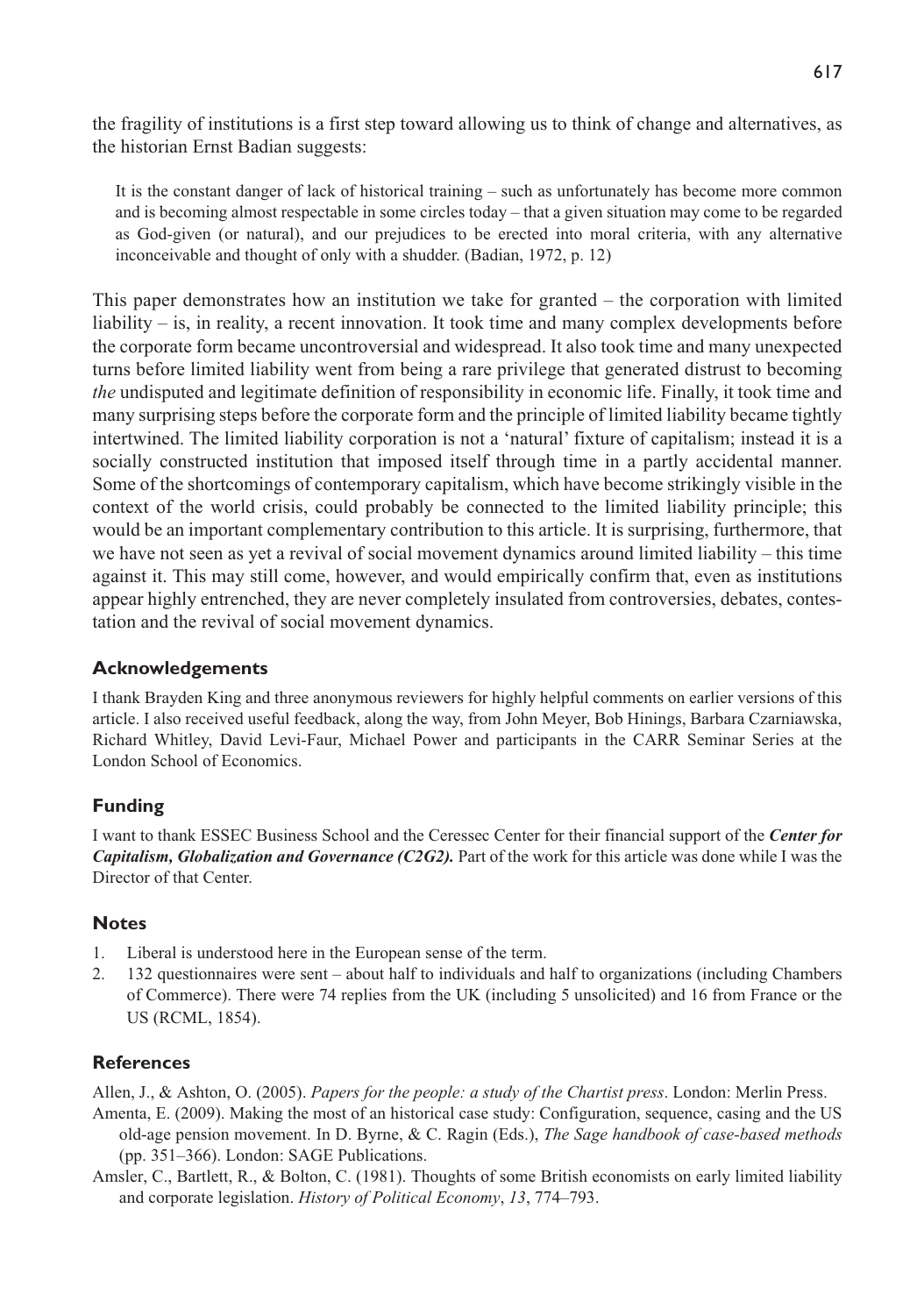the fragility of institutions is a first step toward allowing us to think of change and alternatives, as the historian Ernst Badian suggests:

It is the constant danger of lack of historical training – such as unfortunately has become more common and is becoming almost respectable in some circles today – that a given situation may come to be regarded as God-given (or natural), and our prejudices to be erected into moral criteria, with any alternative inconceivable and thought of only with a shudder. (Badian, 1972, p. 12)

This paper demonstrates how an institution we take for granted – the corporation with limited liability – is, in reality, a recent innovation. It took time and many complex developments before the corporate form became uncontroversial and widespread. It also took time and many unexpected turns before limited liability went from being a rare privilege that generated distrust to becoming *the* undisputed and legitimate definition of responsibility in economic life. Finally, it took time and many surprising steps before the corporate form and the principle of limited liability became tightly intertwined. The limited liability corporation is not a 'natural' fixture of capitalism; instead it is a socially constructed institution that imposed itself through time in a partly accidental manner. Some of the shortcomings of contemporary capitalism, which have become strikingly visible in the context of the world crisis, could probably be connected to the limited liability principle; this would be an important complementary contribution to this article. It is surprising, furthermore, that we have not seen as yet a revival of social movement dynamics around limited liability – this time against it. This may still come, however, and would empirically confirm that, even as institutions appear highly entrenched, they are never completely insulated from controversies, debates, contestation and the revival of social movement dynamics.

#### **Acknowledgements**

I thank Brayden King and three anonymous reviewers for highly helpful comments on earlier versions of this article. I also received useful feedback, along the way, from John Meyer, Bob Hinings, Barbara Czarniawska, Richard Whitley, David Levi-Faur, Michael Power and participants in the CARR Seminar Series at the London School of Economics.

### **Funding**

I want to thank ESSEC Business School and the Ceressec Center for their financial support of the *Center for Capitalism, Globalization and Governance (C2G2).* Part of the work for this article was done while I was the Director of that Center.

### **Notes**

- 1. Liberal is understood here in the European sense of the term.
- 2. 132 questionnaires were sent about half to individuals and half to organizations (including Chambers of Commerce). There were 74 replies from the UK (including 5 unsolicited) and 16 from France or the US (RCML, 1854).

### **References**

Allen, J., & Ashton, O. (2005). *Papers for the people: a study of the Chartist press*. London: Merlin Press.

Amenta, E. (2009). Making the most of an historical case study: Configuration, sequence, casing and the US old-age pension movement. In D. Byrne, & C. Ragin (Eds.), *The Sage handbook of case-based methods* (pp. 351–366). London: SAGE Publications.

Amsler, C., Bartlett, R., & Bolton, C. (1981). Thoughts of some British economists on early limited liability and corporate legislation. *History of Political Economy*, *13*, 774–793.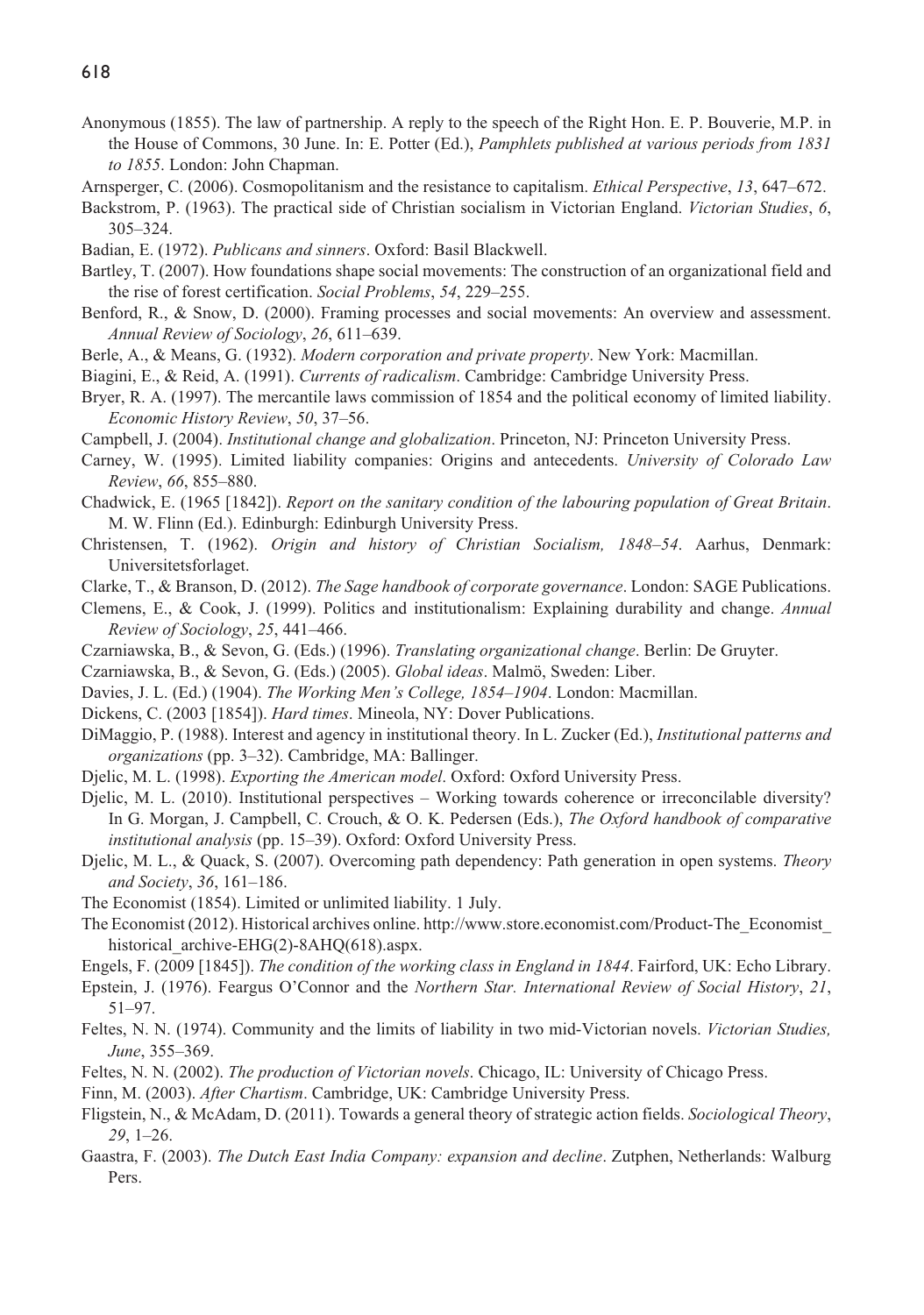- Anonymous (1855). The law of partnership. A reply to the speech of the Right Hon. E. P. Bouverie, M.P. in the House of Commons, 30 June. In: E. Potter (Ed.), *Pamphlets published at various periods from 1831 to 1855*. London: John Chapman.
- Arnsperger, C. (2006). Cosmopolitanism and the resistance to capitalism. *Ethical Perspective*, *13*, 647–672.
- Backstrom, P. (1963). The practical side of Christian socialism in Victorian England. *Victorian Studies*, *6*, 305–324.
- Badian, E. (1972). *Publicans and sinners*. Oxford: Basil Blackwell.
- Bartley, T. (2007). How foundations shape social movements: The construction of an organizational field and the rise of forest certification. *Social Problems*, *54*, 229–255.
- Benford, R., & Snow, D. (2000). Framing processes and social movements: An overview and assessment. *Annual Review of Sociology*, *26*, 611–639.
- Berle, A., & Means, G. (1932). *Modern corporation and private property*. New York: Macmillan.
- Biagini, E., & Reid, A. (1991). *Currents of radicalism*. Cambridge: Cambridge University Press.
- Bryer, R. A. (1997). The mercantile laws commission of 1854 and the political economy of limited liability. *Economic History Review*, *50*, 37–56.
- Campbell, J. (2004). *Institutional change and globalization*. Princeton, NJ: Princeton University Press.
- Carney, W. (1995). Limited liability companies: Origins and antecedents. *University of Colorado Law Review*, *66*, 855–880.
- Chadwick, E. (1965 [1842]). *Report on the sanitary condition of the labouring population of Great Britain*. M. W. Flinn (Ed.). Edinburgh: Edinburgh University Press.
- Christensen, T. (1962). *Origin and history of Christian Socialism, 1848–54*. Aarhus, Denmark: Universitetsforlaget.
- Clarke, T., & Branson, D. (2012). *The Sage handbook of corporate governance*. London: SAGE Publications.
- Clemens, E., & Cook, J. (1999). Politics and institutionalism: Explaining durability and change. *Annual Review of Sociology*, *25*, 441–466.
- Czarniawska, B., & Sevon, G. (Eds.) (1996). *Translating organizational change*. Berlin: De Gruyter.
- Czarniawska, B., & Sevon, G. (Eds.) (2005). *Global ideas*. Malmö, Sweden: Liber.
- Davies, J. L. (Ed.) (1904). *The Working Men's College, 1854–1904*. London: Macmillan.
- Dickens, C. (2003 [1854]). *Hard times*. Mineola, NY: Dover Publications.
- DiMaggio, P. (1988). Interest and agency in institutional theory. In L. Zucker (Ed.), *Institutional patterns and organizations* (pp. 3–32). Cambridge, MA: Ballinger.
- Djelic, M. L. (1998). *Exporting the American model*. Oxford: Oxford University Press.
- Djelic, M. L. (2010). Institutional perspectives Working towards coherence or irreconcilable diversity? In G. Morgan, J. Campbell, C. Crouch, & O. K. Pedersen (Eds.), *The Oxford handbook of comparative institutional analysis* (pp. 15–39). Oxford: Oxford University Press.
- Djelic, M. L., & Quack, S. (2007). Overcoming path dependency: Path generation in open systems. *Theory and Society*, *36*, 161–186.
- The Economist (1854). Limited or unlimited liability. 1 July.
- The Economist (2012). Historical archives online. http://www.store.economist.com/Product-The\_Economist\_ historical archive-EHG(2)-8AHQ(618).aspx.
- Engels, F. (2009 [1845]). *The condition of the working class in England in 1844*. Fairford, UK: Echo Library.
- Epstein, J. (1976). Feargus O'Connor and the *Northern Star. International Review of Social History*, *21*, 51–97.
- Feltes, N. N. (1974). Community and the limits of liability in two mid-Victorian novels. *Victorian Studies, June*, 355–369.
- Feltes, N. N. (2002). *The production of Victorian novels*. Chicago, IL: University of Chicago Press.
- Finn, M. (2003). *After Chartism*. Cambridge, UK: Cambridge University Press.
- Fligstein, N., & McAdam, D. (2011). Towards a general theory of strategic action fields. *Sociological Theory*, *29*, 1–26.
- Gaastra, F. (2003). *The Dutch East India Company: expansion and decline*. Zutphen, Netherlands: Walburg Pers.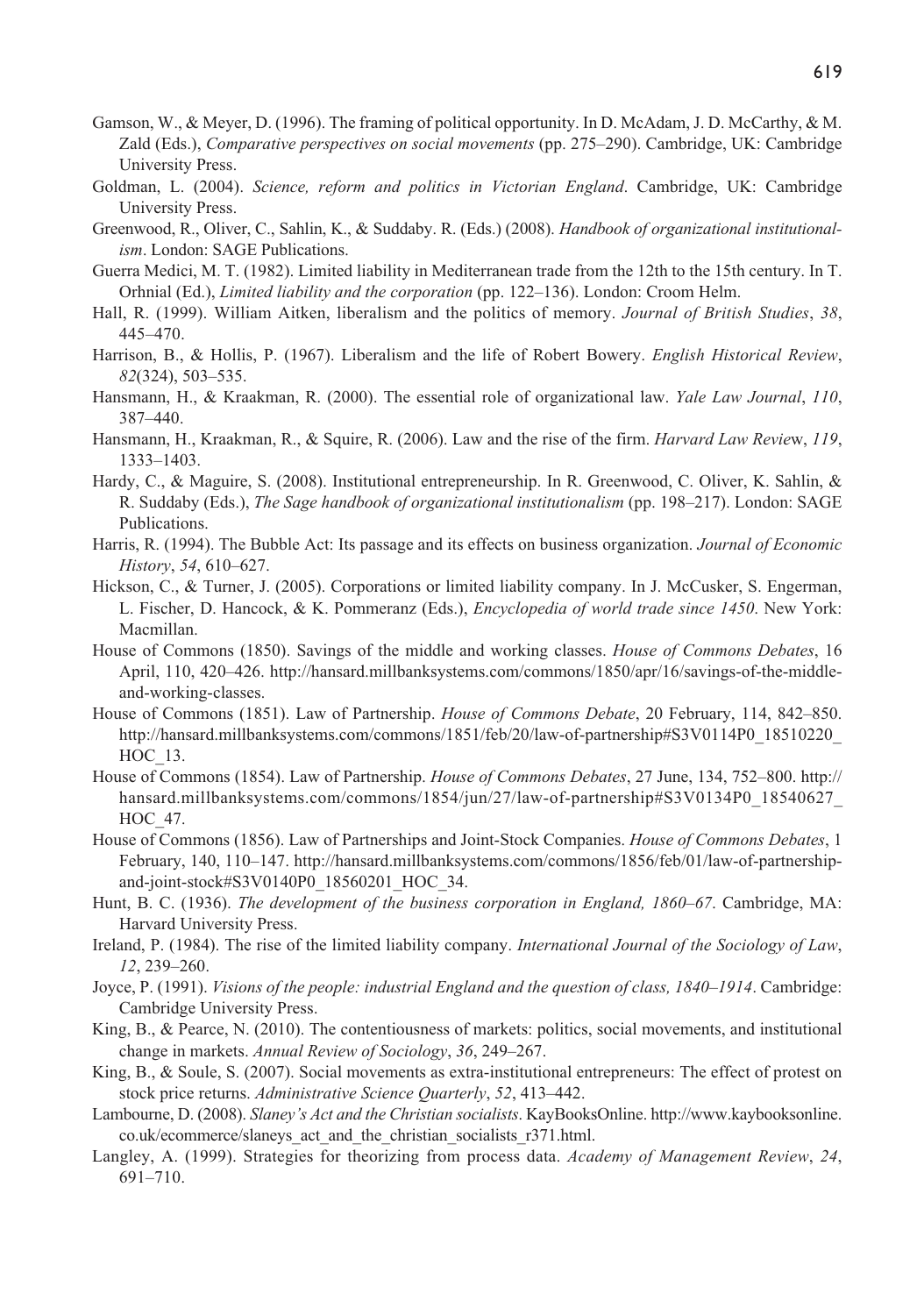- Gamson, W., & Meyer, D. (1996). The framing of political opportunity. In D. McAdam, J. D. McCarthy, & M. Zald (Eds.), *Comparative perspectives on social movements* (pp. 275–290). Cambridge, UK: Cambridge University Press.
- Goldman, L. (2004). *Science, reform and politics in Victorian England*. Cambridge, UK: Cambridge University Press.
- Greenwood, R., Oliver, C., Sahlin, K., & Suddaby. R. (Eds.) (2008). *Handbook of organizational institutionalism*. London: SAGE Publications.
- Guerra Medici, M. T. (1982). Limited liability in Mediterranean trade from the 12th to the 15th century. In T. Orhnial (Ed.), *Limited liability and the corporation* (pp. 122–136). London: Croom Helm.
- Hall, R. (1999). William Aitken, liberalism and the politics of memory. *Journal of British Studies*, *38*, 445–470.
- Harrison, B., & Hollis, P. (1967). Liberalism and the life of Robert Bowery. *English Historical Review*, *82*(324), 503–535.
- Hansmann, H., & Kraakman, R. (2000). The essential role of organizational law. *Yale Law Journal*, *110*, 387–440.
- Hansmann, H., Kraakman, R., & Squire, R. (2006). Law and the rise of the firm. *Harvard Law Revie*w, *119*, 1333–1403.
- Hardy, C., & Maguire, S. (2008). Institutional entrepreneurship. In R. Greenwood, C. Oliver, K. Sahlin, & R. Suddaby (Eds.), *The Sage handbook of organizational institutionalism* (pp. 198–217). London: SAGE Publications.
- Harris, R. (1994). The Bubble Act: Its passage and its effects on business organization. *Journal of Economic History*, *54*, 610–627.
- Hickson, C., & Turner, J. (2005). Corporations or limited liability company. In J. McCusker, S. Engerman, L. Fischer, D. Hancock, & K. Pommeranz (Eds.), *Encyclopedia of world trade since 1450*. New York: Macmillan.
- House of Commons (1850). Savings of the middle and working classes. *House of Commons Debates*, 16 April, 110, 420–426. http://hansard.millbanksystems.com/commons/1850/apr/16/savings-of-the-middleand-working-classes.
- House of Commons (1851). Law of Partnership. *House of Commons Debate*, 20 February, 114, 842–850. http://hansard.millbanksystems.com/commons/1851/feb/20/law-of-partnership#S3V0114P0\_18510220\_ HOC\_13.
- House of Commons (1854). Law of Partnership. *House of Commons Debates*, 27 June, 134, 752–800. http:// hansard.millbanksystems.com/commons/1854/jun/27/law-of-partnership#S3V0134P0\_18540627\_ HOC\_47.
- House of Commons (1856). Law of Partnerships and Joint-Stock Companies. *House of Commons Debates*, 1 February, 140, 110–147. http://hansard.millbanksystems.com/commons/1856/feb/01/law-of-partnershipand-joint-stock#S3V0140P0\_18560201\_HOC\_34.
- Hunt, B. C. (1936). *The development of the business corporation in England, 1860–67*. Cambridge, MA: Harvard University Press.
- Ireland, P. (1984). The rise of the limited liability company. *International Journal of the Sociology of Law*, *12*, 239–260.
- Joyce, P. (1991). *Visions of the people: industrial England and the question of class, 1840–1914*. Cambridge: Cambridge University Press.
- King, B., & Pearce, N. (2010). The contentiousness of markets: politics, social movements, and institutional change in markets. *Annual Review of Sociology*, *36*, 249–267.
- King, B., & Soule, S. (2007). Social movements as extra-institutional entrepreneurs: The effect of protest on stock price returns. *Administrative Science Quarterly*, *52*, 413–442.
- Lambourne, D. (2008). *Slaney's Act and the Christian socialists*. KayBooksOnline. http://www.kaybooksonline. co.uk/ecommerce/slaneys\_act\_and\_the\_christian\_socialists\_r371.html.
- Langley, A. (1999). Strategies for theorizing from process data. *Academy of Management Review*, *24*, 691–710.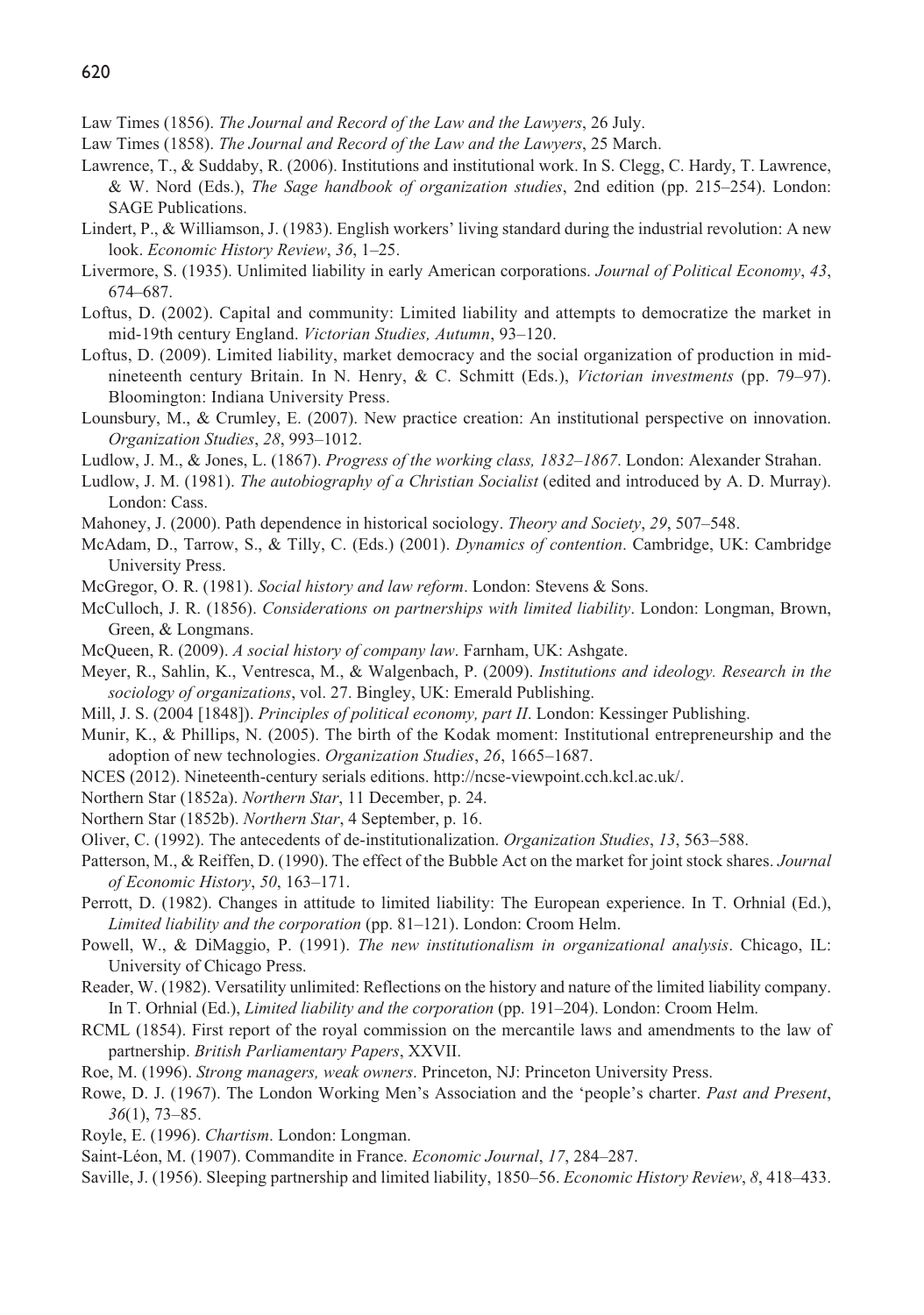- Law Times (1856). *The Journal and Record of the Law and the Lawyers*, 26 July.
- Law Times (1858). *The Journal and Record of the Law and the Lawyers*, 25 March.
- Lawrence, T., & Suddaby, R. (2006). Institutions and institutional work. In S. Clegg, C. Hardy, T. Lawrence, & W. Nord (Eds.), *The Sage handbook of organization studies*, 2nd edition (pp. 215–254). London: SAGE Publications.
- Lindert, P., & Williamson, J. (1983). English workers' living standard during the industrial revolution: A new look. *Economic History Review*, *36*, 1–25.
- Livermore, S. (1935). Unlimited liability in early American corporations. *Journal of Political Economy*, *43*, 674–687.
- Loftus, D. (2002). Capital and community: Limited liability and attempts to democratize the market in mid-19th century England. *Victorian Studies, Autumn*, 93–120.
- Loftus, D. (2009). Limited liability, market democracy and the social organization of production in midnineteenth century Britain. In N. Henry, & C. Schmitt (Eds.), *Victorian investments* (pp. 79–97). Bloomington: Indiana University Press.
- Lounsbury, M., & Crumley, E. (2007). New practice creation: An institutional perspective on innovation. *Organization Studies*, *28*, 993–1012.
- Ludlow, J. M., & Jones, L. (1867). *Progress of the working class, 1832–1867*. London: Alexander Strahan.
- Ludlow, J. M. (1981). *The autobiography of a Christian Socialist* (edited and introduced by A. D. Murray). London: Cass.
- Mahoney, J. (2000). Path dependence in historical sociology. *Theory and Society*, *29*, 507–548.
- McAdam, D., Tarrow, S., & Tilly, C. (Eds.) (2001). *Dynamics of contention*. Cambridge, UK: Cambridge University Press.
- McGregor, O. R. (1981). *Social history and law reform*. London: Stevens & Sons.
- McCulloch, J. R. (1856). *Considerations on partnerships with limited liability*. London: Longman, Brown, Green, & Longmans.
- McQueen, R. (2009). *A social history of company law*. Farnham, UK: Ashgate.
- Meyer, R., Sahlin, K., Ventresca, M., & Walgenbach, P. (2009). *Institutions and ideology. Research in the sociology of organizations*, vol. 27. Bingley, UK: Emerald Publishing.
- Mill, J. S. (2004 [1848]). *Principles of political economy, part II*. London: Kessinger Publishing.
- Munir, K., & Phillips, N. (2005). The birth of the Kodak moment: Institutional entrepreneurship and the adoption of new technologies. *Organization Studies*, *26*, 1665–1687.
- NCES (2012). Nineteenth-century serials editions. http://ncse-viewpoint.cch.kcl.ac.uk/.
- Northern Star (1852a). *Northern Star*, 11 December, p. 24.
- Northern Star (1852b). *Northern Star*, 4 September, p. 16.
- Oliver, C. (1992). The antecedents of de-institutionalization. *Organization Studies*, *13*, 563–588.
- Patterson, M., & Reiffen, D. (1990). The effect of the Bubble Act on the market for joint stock shares. *Journal of Economic History*, *50*, 163–171.
- Perrott, D. (1982). Changes in attitude to limited liability: The European experience. In T. Orhnial (Ed.), *Limited liability and the corporation* (pp. 81–121). London: Croom Helm.
- Powell, W., & DiMaggio, P. (1991). *The new institutionalism in organizational analysis*. Chicago, IL: University of Chicago Press.
- Reader, W. (1982). Versatility unlimited: Reflections on the history and nature of the limited liability company. In T. Orhnial (Ed.), *Limited liability and the corporation* (pp. 191–204). London: Croom Helm.
- RCML (1854). First report of the royal commission on the mercantile laws and amendments to the law of partnership. *British Parliamentary Papers*, XXVII.
- Roe, M. (1996). *Strong managers, weak owners*. Princeton, NJ: Princeton University Press.
- Rowe, D. J. (1967). The London Working Men's Association and the 'people's charter. *Past and Present*, *36*(1), 73–85.
- Royle, E. (1996). *Chartism*. London: Longman.
- Saint-Léon, M. (1907). Commandite in France. *Economic Journal*, *17*, 284–287.
- Saville, J. (1956). Sleeping partnership and limited liability, 1850–56. *Economic History Review*, *8*, 418–433.